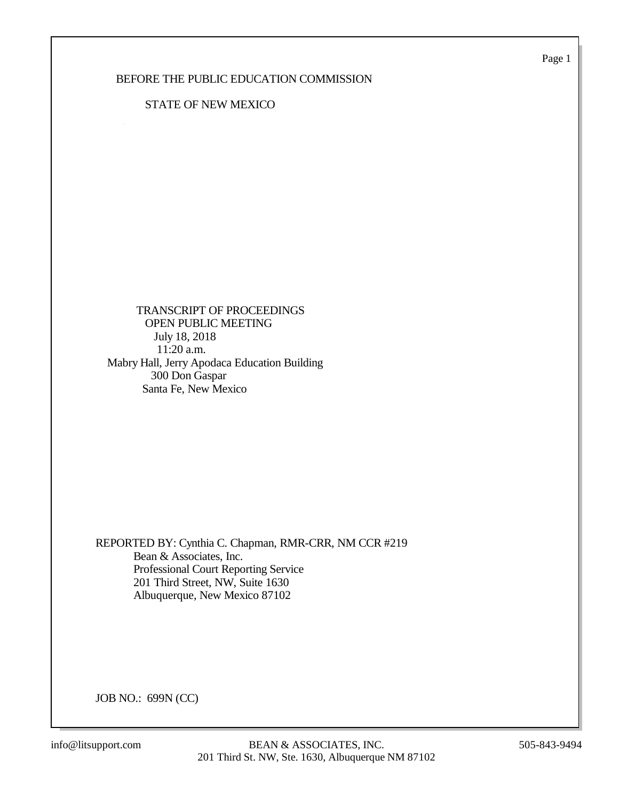Page 1

# BEFORE THE PUBLIC EDUCATION COMMISSION

# STATE OF NEW MEXICO

 TRANSCRIPT OF PROCEEDINGS OPEN PUBLIC MEETING July 18, 2018 11:20 a.m. Mabry Hall, Jerry Apodaca Education Building 300 Don Gaspar Santa Fe, New Mexico

REPORTED BY: Cynthia C. Chapman, RMR-CRR, NM CCR #219 Bean & Associates, Inc. Professional Court Reporting Service 201 Third Street, NW, Suite 1630 Albuquerque, New Mexico 87102

JOB NO.: 699N (CC)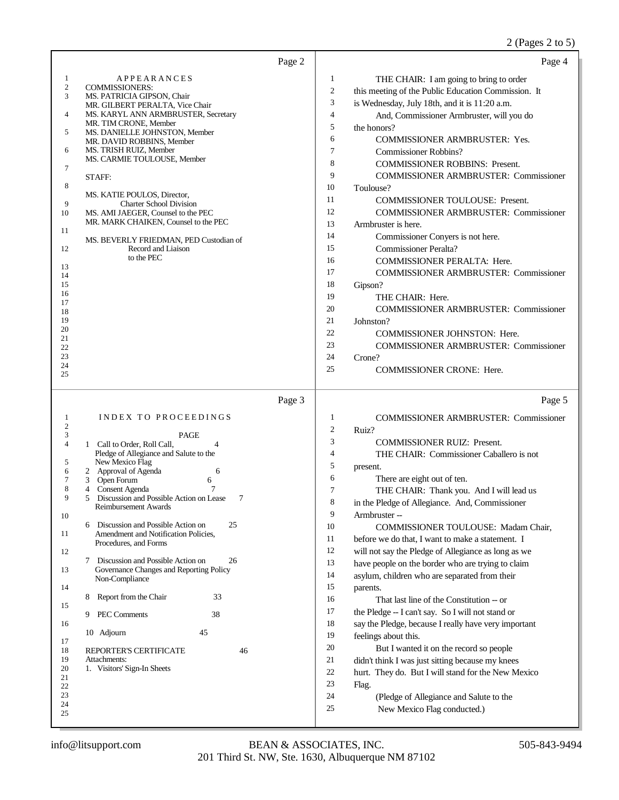| Page 2                                                                                                                                                                                                                                                                                                                                                                                                                                                                                                                                                                                                                                                                                                                                                                                                                                                           | Page 4                                                                                                                                                                                                                                                                                                                                                                                                                                                                                                                                                                                                                                                                                                                                                                                                                                                                                                                                                                                                                                                                                                                                                                |
|------------------------------------------------------------------------------------------------------------------------------------------------------------------------------------------------------------------------------------------------------------------------------------------------------------------------------------------------------------------------------------------------------------------------------------------------------------------------------------------------------------------------------------------------------------------------------------------------------------------------------------------------------------------------------------------------------------------------------------------------------------------------------------------------------------------------------------------------------------------|-----------------------------------------------------------------------------------------------------------------------------------------------------------------------------------------------------------------------------------------------------------------------------------------------------------------------------------------------------------------------------------------------------------------------------------------------------------------------------------------------------------------------------------------------------------------------------------------------------------------------------------------------------------------------------------------------------------------------------------------------------------------------------------------------------------------------------------------------------------------------------------------------------------------------------------------------------------------------------------------------------------------------------------------------------------------------------------------------------------------------------------------------------------------------|
| <b>APPEARANCES</b><br>1<br>$\mathbf{2}$<br><b>COMMISSIONERS:</b><br>3<br>MS. PATRICIA GIPSON, Chair<br>MR. GILBERT PERALTA, Vice Chair<br>MS. KARYL ANN ARMBRUSTER, Secretary<br>4<br>MR. TIM CRONE, Member<br>MS. DANIELLE JOHNSTON, Member<br>5<br>MR. DAVID ROBBINS, Member<br>MS. TRISH RUIZ, Member<br>6<br>MS. CARMIE TOULOUSE, Member<br>7<br>STAFF:<br>8<br>MS. KATIE POULOS, Director,<br>9<br><b>Charter School Division</b><br>10<br>MS. AMI JAEGER, Counsel to the PEC<br>MR. MARK CHAIKEN, Counsel to the PEC<br>11<br>MS. BEVERLY FRIEDMAN, PED Custodian of<br>Record and Liaison<br>12<br>to the PEC<br>13<br>14<br>15<br>16<br>17<br>18<br>19<br>20<br>21<br>22<br>23<br>24                                                                                                                                                                     | 1<br>THE CHAIR: I am going to bring to order<br>$\overline{\mathbf{c}}$<br>this meeting of the Public Education Commission. It<br>3<br>is Wednesday, July 18th, and it is 11:20 a.m.<br>$\overline{4}$<br>And, Commissioner Armbruster, will you do<br>5<br>the honors?<br>6<br><b>COMMISSIONER ARMBRUSTER: Yes.</b><br>$\tau$<br>Commissioner Robbins?<br>8<br><b>COMMISSIONER ROBBINS: Present.</b><br>9<br>COMMISSIONER ARMBRUSTER: Commissioner<br>10<br>Toulouse?<br>11<br>COMMISSIONER TOULOUSE: Present.<br>12<br><b>COMMISSIONER ARMBRUSTER: Commissioner</b><br>13<br>Armbruster is here.<br>14<br>Commissioner Conyers is not here.<br>15<br><b>Commissioner Peralta?</b><br>16<br><b>COMMISSIONER PERALTA: Here.</b><br>17<br><b>COMMISSIONER ARMBRUSTER: Commissioner</b><br>18<br>Gipson?<br>19<br>THE CHAIR: Here.<br>20<br><b>COMMISSIONER ARMBRUSTER: Commissioner</b><br>21<br>Johnston?<br>22<br>COMMISSIONER JOHNSTON: Here.<br>23<br><b>COMMISSIONER ARMBRUSTER: Commissioner</b><br>24<br>Crone?<br>25<br><b>COMMISSIONER CRONE: Here.</b>                                                                                                       |
| 25                                                                                                                                                                                                                                                                                                                                                                                                                                                                                                                                                                                                                                                                                                                                                                                                                                                               |                                                                                                                                                                                                                                                                                                                                                                                                                                                                                                                                                                                                                                                                                                                                                                                                                                                                                                                                                                                                                                                                                                                                                                       |
| Page 3                                                                                                                                                                                                                                                                                                                                                                                                                                                                                                                                                                                                                                                                                                                                                                                                                                                           | Page 5                                                                                                                                                                                                                                                                                                                                                                                                                                                                                                                                                                                                                                                                                                                                                                                                                                                                                                                                                                                                                                                                                                                                                                |
| <b>INDEX TO PROCEEDINGS</b><br>1<br>2<br>3<br><b>PAGE</b><br>1 Call to Order, Roll Call,<br>4<br>$\overline{4}$<br>Pledge of Allegiance and Salute to the<br>New Mexico Flag<br>5<br>2 Approval of Agenda<br>6<br>6<br>7<br>Open Forum<br>3<br>6<br>8<br>4 Consent Agenda<br>7<br>7<br>9<br>5<br>Discussion and Possible Action on Lease<br>Reimbursement Awards<br>10<br>Discussion and Possible Action on<br>25<br>6<br>Amendment and Notification Policies,<br>11<br>Procedures, and Forms<br>12<br>Discussion and Possible Action on<br>26<br>7<br>13<br>Governance Changes and Reporting Policy<br>Non-Compliance<br>14<br>33<br>Report from the Chair<br>8<br>15<br>PEC Comments<br>38<br>9<br>16<br>45<br>10 Adjourn<br>17<br>REPORTER'S CERTIFICATE<br>18<br>46<br>19<br>Attachments:<br>1. Visitors' Sign-In Sheets<br>20<br>21<br>22<br>23<br>24<br>25 | 1<br><b>COMMISSIONER ARMBRUSTER: Commissioner</b><br>$\overline{c}$<br>Ruiz?<br>3<br><b>COMMISSIONER RUIZ: Present.</b><br>$\overline{4}$<br>THE CHAIR: Commissioner Caballero is not<br>5<br>present.<br>6<br>There are eight out of ten.<br>7<br>THE CHAIR: Thank you. And I will lead us<br>8<br>in the Pledge of Allegiance. And, Commissioner<br>9<br>Armbruster --<br>10<br>COMMISSIONER TOULOUSE: Madam Chair,<br>11<br>before we do that, I want to make a statement. I<br>12<br>will not say the Pledge of Allegiance as long as we<br>13<br>have people on the border who are trying to claim<br>14<br>asylum, children who are separated from their<br>15<br>parents.<br>16<br>That last line of the Constitution -- or<br>17<br>the Pledge -- I can't say. So I will not stand or<br>18<br>say the Pledge, because I really have very important<br>19<br>feelings about this.<br>20<br>But I wanted it on the record so people<br>21<br>didn't think I was just sitting because my knees<br>22<br>hurt. They do. But I will stand for the New Mexico<br>23<br>Flag.<br>24<br>(Pledge of Allegiance and Salute to the<br>25<br>New Mexico Flag conducted.) |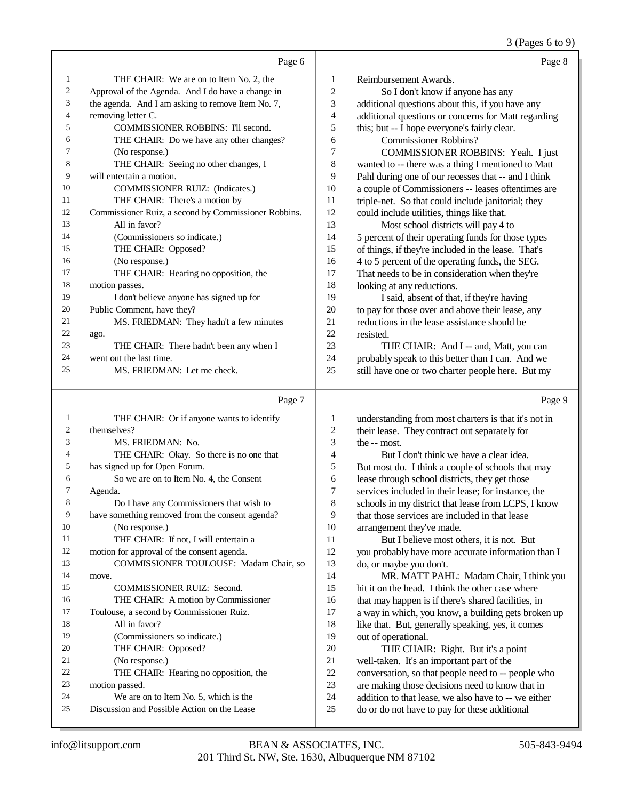# 3 (Pages 6 to 9)

|    | Page 6                                               |    | Page 8                                              |
|----|------------------------------------------------------|----|-----------------------------------------------------|
| 1  | THE CHAIR: We are on to Item No. 2, the              | 1  | Reimbursement Awards.                               |
| 2  | Approval of the Agenda. And I do have a change in    | 2  | So I don't know if anyone has any                   |
| 3  | the agenda. And I am asking to remove Item No. 7,    | 3  | additional questions about this, if you have any    |
| 4  | removing letter C.                                   | 4  | additional questions or concerns for Matt regarding |
| 5  | <b>COMMISSIONER ROBBINS: I'll second.</b>            | 5  | this; but -- I hope everyone's fairly clear.        |
| 6  | THE CHAIR: Do we have any other changes?             | 6  | Commissioner Robbins?                               |
| 7  | (No response.)                                       | 7  | COMMISSIONER ROBBINS: Yeah. I just                  |
| 8  | THE CHAIR: Seeing no other changes, I                | 8  | wanted to -- there was a thing I mentioned to Matt  |
| 9  | will entertain a motion.                             | 9  | Pahl during one of our recesses that -- and I think |
| 10 | <b>COMMISSIONER RUIZ:</b> (Indicates.)               | 10 | a couple of Commissioners -- leases oftentimes are  |
| 11 | THE CHAIR: There's a motion by                       | 11 | triple-net. So that could include janitorial; they  |
| 12 | Commissioner Ruiz, a second by Commissioner Robbins. | 12 | could include utilities, things like that.          |
| 13 | All in favor?                                        | 13 | Most school districts will pay 4 to                 |
| 14 | (Commissioners so indicate.)                         | 14 | 5 percent of their operating funds for those types  |
| 15 | THE CHAIR: Opposed?                                  | 15 | of things, if they're included in the lease. That's |
| 16 | (No response.)                                       | 16 | 4 to 5 percent of the operating funds, the SEG.     |
| 17 | THE CHAIR: Hearing no opposition, the                | 17 | That needs to be in consideration when they're      |
| 18 | motion passes.                                       | 18 | looking at any reductions.                          |
| 19 | I don't believe anyone has signed up for             | 19 | I said, absent of that, if they're having           |
| 20 | Public Comment, have they?                           | 20 | to pay for those over and above their lease, any    |
| 21 | MS. FRIEDMAN: They hadn't a few minutes              | 21 | reductions in the lease assistance should be        |
| 22 | ago.                                                 | 22 | resisted.                                           |
| 23 | THE CHAIR: There hadn't been any when I              | 23 | THE CHAIR: And I -- and, Matt, you can              |
| 24 | went out the last time.                              | 24 | probably speak to this better than I can. And we    |
| 25 | MS. FRIEDMAN: Let me check.                          | 25 | still have one or two charter people here. But my   |
|    |                                                      |    |                                                     |

# Page 7

| 1              | THE CHAIR: Or if anyone wants to identify       |
|----------------|-------------------------------------------------|
| 2              | themselves?                                     |
| 3              | MS. FRIEDMAN: No.                               |
| $\overline{4}$ | THE CHAIR: Okay. So there is no one that        |
| 5              | has signed up for Open Forum.                   |
| 6              | So we are on to Item No. 4, the Consent         |
| 7              | Agenda.                                         |
| 8              | Do I have any Commissioners that wish to        |
| 9              | have something removed from the consent agenda? |
| 10             | (No response.)                                  |
| 11             | THE CHAIR: If not, I will entertain a           |
| 12             | motion for approval of the consent agenda.      |
| 13             | COMMISSIONER TOULOUSE: Madam Chair, so          |
| 14             | move.                                           |
| 15             | <b>COMMISSIONER RUIZ: Second.</b>               |
| 16             | THE CHAIR: A motion by Commissioner             |
| 17             | Toulouse, a second by Commissioner Ruiz.        |
| 18             | All in favor?                                   |
| 19             | (Commissioners so indicate.)                    |
| 20             | THE CHAIR: Opposed?                             |
| 21             | (No response.)                                  |
| 22             | THE CHAIR: Hearing no opposition, the           |
| 23             | motion passed.                                  |
| 24             | We are on to Item No. 5, which is the           |
| 25             | Discussion and Possible Action on the Lease     |
|                |                                                 |

| 1              | understanding from most charters is that it's not in |
|----------------|------------------------------------------------------|
| $\overline{2}$ | their lease. They contract out separately for        |
| 3              | the -- most.                                         |
| $\overline{4}$ | But I don't think we have a clear idea.              |
| 5              | But most do. I think a couple of schools that may    |
| 6              | lease through school districts, they get those       |
| 7              | services included in their lease; for instance, the  |
| 8              | schools in my district that lease from LCPS, I know  |
| 9              | that those services are included in that lease       |
| 10             | arrangement they've made.                            |
| 11             | But I believe most others, it is not. But            |
| 12             | you probably have more accurate information than I   |
| 13             | do, or maybe you don't.                              |
| 14             | MR. MATT PAHL: Madam Chair, I think you              |
| 15             | hit it on the head. I think the other case where     |
| 16             | that may happen is if there's shared facilities, in  |
| 17             | a way in which, you know, a building gets broken up  |
| 18             | like that. But, generally speaking, yes, it comes    |
| 19             | out of operational.                                  |
| 20             | THE CHAIR: Right. But it's a point                   |
| 21             | well-taken. It's an important part of the            |
| 22             | conversation, so that people need to -- people who   |
| 23             | are making those decisions need to know that in      |
| 24             | addition to that lease, we also have to -- we either |
| 25             | do or do not have to pay for these additional        |
|                |                                                      |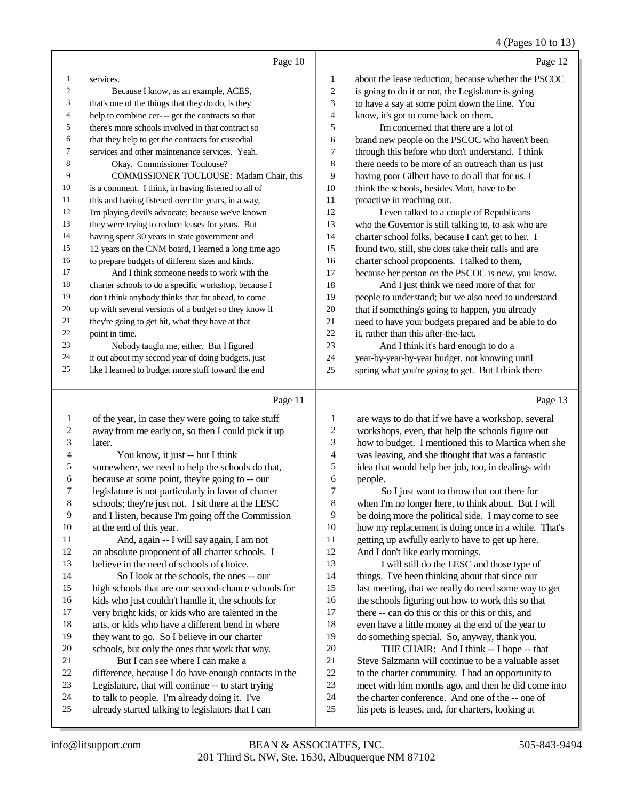### 4 (Pages 10 to 13)

|    | Page 10                                              |    | Page 12                                              |
|----|------------------------------------------------------|----|------------------------------------------------------|
| 1  | services.                                            | 1  | about the lease reduction: because whether the PSCOC |
| 2  | Because I know, as an example, ACES,                 | 2  | is going to do it or not, the Legislature is going   |
| 3  | that's one of the things that they do do, is they    | 3  | to have a say at some point down the line. You       |
| 4  | help to combine cer- -- get the contracts so that    | 4  | know, it's got to come back on them.                 |
| 5  | there's more schools involved in that contract so    | 5  | I'm concerned that there are a lot of                |
| 6  | that they help to get the contracts for custodial    | 6  | brand new people on the PSCOC who haven't been       |
| 7  | services and other maintenance services. Yeah.       | 7  | through this before who don't understand. I think    |
| 8  | Okay. Commissioner Toulouse?                         | 8  | there needs to be more of an outreach than us just   |
| 9  | COMMISSIONER TOULOUSE: Madam Chair, this             | 9  | having poor Gilbert have to do all that for us. I    |
| 10 | is a comment. I think, in having listened to all of  | 10 | think the schools, besides Matt, have to be          |
| 11 | this and having listened over the years, in a way,   | 11 | proactive in reaching out.                           |
| 12 | I'm playing devil's advocate; because we've known    | 12 | I even talked to a couple of Republicans             |
| 13 | they were trying to reduce leases for years. But     | 13 | who the Governor is still talking to, to ask who are |
| 14 | having spent 30 years in state government and        | 14 | charter school folks, because I can't get to her. I  |
| 15 | 12 years on the CNM board, I learned a long time ago | 15 | found two, still, she does take their calls and are  |
| 16 | to prepare budgets of different sizes and kinds.     | 16 | charter school proponents. I talked to them,         |
| 17 | And I think someone needs to work with the           | 17 | because her person on the PSCOC is new, you know.    |
| 18 | charter schools to do a specific workshop, because I | 18 | And I just think we need more of that for            |
| 19 | don't think anybody thinks that far ahead, to come   | 19 | people to understand; but we also need to understand |
| 20 | up with several versions of a budget so they know if | 20 | that if something's going to happen, you already     |
| 21 | they're going to get hit, what they have at that     | 21 | need to have your budgets prepared and be able to do |
| 22 | point in time.                                       | 22 | it, rather than this after-the-fact.                 |
| 23 | Nobody taught me, either. But I figured              | 23 | And I think it's hard enough to do a                 |
| 24 | it out about my second year of doing budgets, just   | 24 | year-by-year-by-year budget, not knowing until       |
| 25 | like I learned to budget more stuff toward the end   | 25 | spring what you're going to get. But I think there   |
|    |                                                      |    |                                                      |

### Page 11

| $\mathbf{1}$             | of the year, in case they were going to take stuff   | 1  |
|--------------------------|------------------------------------------------------|----|
| 2                        | away from me early on, so then I could pick it up    | 2  |
| 3                        | later.                                               | 3  |
| $\overline{\mathcal{L}}$ | You know, it just -- but I think                     | 4  |
| 5                        | somewhere, we need to help the schools do that,      | 5  |
| 6                        | because at some point, they're going to -- our       | 6  |
| 7                        | legislature is not particularly in favor of charter  | 7  |
| 8                        | schools; they're just not. I sit there at the LESC   | 8  |
| 9                        | and I listen, because I'm going off the Commission   | 9  |
| 10                       | at the end of this year.                             | 10 |
| 11                       | And, again -- I will say again, I am not             | 11 |
| 12                       | an absolute proponent of all charter schools. I      | 12 |
| 13                       | believe in the need of schools of choice.            | 13 |
| 14                       | So I look at the schools, the ones -- our            | 14 |
| 15                       | high schools that are our second-chance schools for  | 15 |
| 16                       | kids who just couldn't handle it, the schools for    | 16 |
| 17                       | very bright kids, or kids who are talented in the    | 17 |
| 18                       | arts, or kids who have a different bend in where     | 18 |
| 19                       | they want to go. So I believe in our charter         | 19 |
| 20                       | schools, but only the ones that work that way.       | 20 |
| 21                       | But I can see where I can make a                     | 21 |
| 22                       | difference, because I do have enough contacts in the | 22 |
| 23                       | Legislature, that will continue -- to start trying   | 23 |
| 24                       | to talk to people. I'm already doing it. I've        | 24 |
| 25                       | already started talking to legislators that I can    | 25 |
|                          |                                                      |    |

are ways to do that if we have a workshop, several workshops, even, that help the schools figure out how to budget. I mentioned this to Martica when she was leaving, and she thought that was a fantastic idea that would help her job, too, in dealings with people.

So I just want to throw that out there for when I'm no longer here, to think about. But I will be doing more the political side. I may come to see how my replacement is doing once in a while. That's getting up awfully early to have to get up here. And I don't like early mornings.

I will still do the LESC and those type of things. I've been thinking about that since our last meeting, that we really do need some way to get the schools figuring out how to work this so that there -- can do this or this or this or this, and even have a little money at the end of the year to do something special. So, anyway, thank you. THE CHAIR: And I think -- I hope -- that Steve Salzmann will continue to be a valuable asset to the charter community. I had an opportunity to

meet with him months ago, and then he did come into

the charter conference. And one of the -- one of

his pets is leases, and, for charters, looking at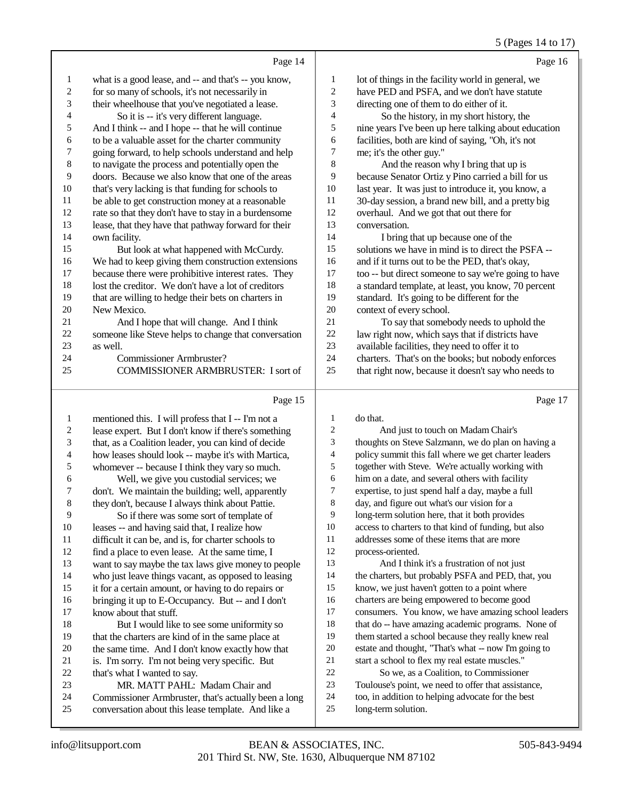### 5 (Pages 14 to 17)

|                          |                                                      |                  | $\sim$ (1 ugus 1 1 to 1                              |
|--------------------------|------------------------------------------------------|------------------|------------------------------------------------------|
|                          | Page 14                                              |                  | Page 16                                              |
| 1                        | what is a good lease, and -- and that's -- you know, | $\mathbf{1}$     | lot of things in the facility world in general, we   |
| $\boldsymbol{2}$         | for so many of schools, it's not necessarily in      | $\overline{c}$   | have PED and PSFA, and we don't have statute         |
| 3                        | their wheelhouse that you've negotiated a lease.     | 3                | directing one of them to do either of it.            |
| $\overline{\mathcal{L}}$ | So it is -- it's very different language.            | 4                | So the history, in my short history, the             |
| 5                        | And I think -- and I hope -- that he will continue   | 5                | nine years I've been up here talking about education |
| 6                        | to be a valuable asset for the charter community     | 6                | facilities, both are kind of saying, "Oh, it's not   |
| $\overline{7}$           | going forward, to help schools understand and help   | 7                | me; it's the other guy."                             |
| $\,8$                    | to navigate the process and potentially open the     | 8                | And the reason why I bring that up is                |
| 9                        | doors. Because we also know that one of the areas    | 9                | because Senator Ortiz y Pino carried a bill for us   |
| $10\,$                   | that's very lacking is that funding for schools to   | 10               | last year. It was just to introduce it, you know, a  |
| 11                       | be able to get construction money at a reasonable    | 11               | 30-day session, a brand new bill, and a pretty big   |
| 12                       | rate so that they don't have to stay in a burdensome | 12               | overhaul. And we got that out there for              |
| 13                       | lease, that they have that pathway forward for their | 13               | conversation.                                        |
| 14                       | own facility.                                        | 14               | I bring that up because one of the                   |
| 15                       | But look at what happened with McCurdy.              | 15               | solutions we have in mind is to direct the PSFA --   |
| 16                       | We had to keep giving them construction extensions   | 16               | and if it turns out to be the PED, that's okay,      |
| 17                       | because there were prohibitive interest rates. They  | 17               | too -- but direct someone to say we're going to have |
| 18                       | lost the creditor. We don't have a lot of creditors  | 18               | a standard template, at least, you know, 70 percent  |
| 19                       | that are willing to hedge their bets on charters in  | 19               | standard. It's going to be different for the         |
| 20                       | New Mexico.                                          | 20               | context of every school.                             |
| 21                       | And I hope that will change. And I think             | 21               | To say that somebody needs to uphold the             |
| 22                       | someone like Steve helps to change that conversation | 22               | law right now, which says that if districts have     |
| 23                       | as well.                                             | 23               | available facilities, they need to offer it to       |
| 24                       | <b>Commissioner Armbruster?</b>                      | 24               | charters. That's on the books; but nobody enforces   |
| 25                       | <b>COMMISSIONER ARMBRUSTER: I sort of</b>            | 25               | that right now, because it doesn't say who needs to  |
|                          | Page 15                                              |                  | Page 17                                              |
| 1                        | mentioned this. I will profess that I -- I'm not a   | 1                | do that.                                             |
| $\overline{c}$           | lease expert. But I don't know if there's something  | $\sqrt{2}$       | And just to touch on Madam Chair's                   |
| 3                        | that, as a Coalition leader, you can kind of decide  | 3                | thoughts on Steve Salzmann, we do plan on having a   |
| $\overline{\mathcal{L}}$ | how leases should look -- maybe it's with Martica,   | 4                | policy summit this fall where we get charter leaders |
| 5                        | whomever -- because I think they vary so much.       | 5                | together with Steve. We're actually working with     |
| 6                        | Well, we give you custodial services; we             | 6                | him on a date, and several others with facility      |
| $\boldsymbol{7}$         | don't. We maintain the building; well, apparently    | $\boldsymbol{7}$ | expertise, to just spend half a day, maybe a full    |
|                          |                                                      |                  |                                                      |

- day, and figure out what's our vision for a
- long-term solution here, that it both provides
- access to charters to that kind of funding, but also
- addresses some of these items that are more
- process-oriented.
- And I think it's a frustration of not just the charters, but probably PSFA and PED, that, you know, we just haven't gotten to a point where
- charters are being empowered to become good
- consumers. You know, we have amazing school leaders
- that do -- have amazing academic programs. None of them started a school because they really knew real
- estate and thought, "That's what -- now I'm going to
- start a school to flex my real estate muscles."
- So we, as a Coalition, to Commissioner
- Toulouse's point, we need to offer that assistance,
- too, in addition to helping advocate for the best
- long-term solution.

 they don't, because I always think about Pattie. 9 So if there was some sort of template of<br>10 leases -- and having said that. I realize how leases -- and having said that, I realize how difficult it can be, and is, for charter schools to find a place to even lease. At the same time, I want to say maybe the tax laws give money to people who just leave things vacant, as opposed to leasing it for a certain amount, or having to do repairs or 16 bringing it up to E-Occupancy. But -- and I don't<br>17 know about that stuff.

18 But I would like to see some uniformity so<br>19 that the charters are kind of in the same place at that the charters are kind of in the same place at

20 the same time. And I don't know exactly how that<br>21 is. I'm sorry. I'm not being very specific. But 21 is. I'm sorry. I'm not being very specific. But<br>22 that's what I wanted to say.

MR. MATT PAHL: Madam Chair and

24 Commissioner Armbruster, that's actually been a long<br>25 conversation about this lease template. And like a conversation about this lease template. And like a

know about that stuff.

22 that's what I wanted to say.<br>23 MR. MATT PAHL: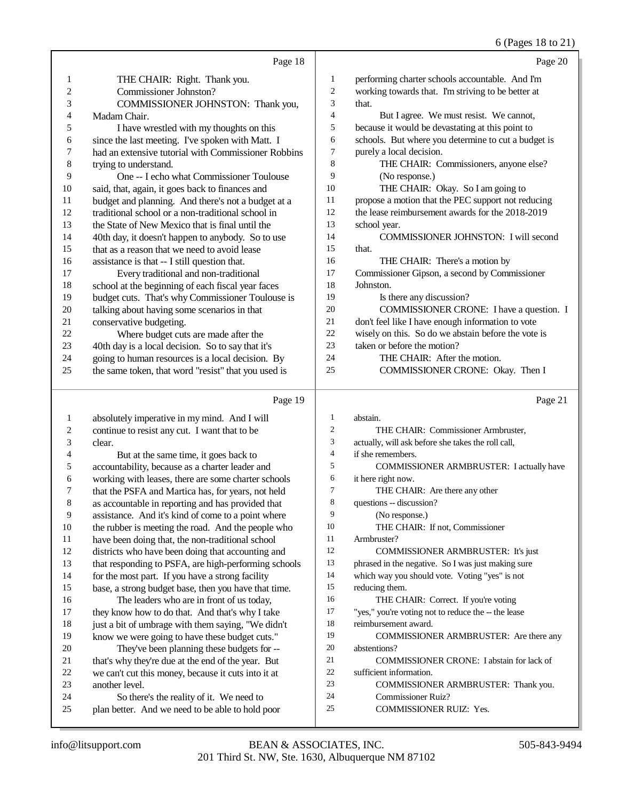(Pages 18 to 21)

|                |                                                     |                | $0$ (F ages 10 to $\angle$ 1)                       |
|----------------|-----------------------------------------------------|----------------|-----------------------------------------------------|
|                | Page 18                                             |                | Page 20                                             |
| 1              | THE CHAIR: Right. Thank you.                        | 1              | performing charter schools accountable. And I'm     |
| $\overline{c}$ | Commissioner Johnston?                              | $\overline{c}$ | working towards that. I'm striving to be better at  |
| 3              | COMMISSIONER JOHNSTON: Thank you,                   | 3              | that.                                               |
| 4              | Madam Chair.                                        | 4              | But I agree. We must resist. We cannot,             |
| 5              | I have wrestled with my thoughts on this            | 5              | because it would be devastating at this point to    |
| 6              | since the last meeting. I've spoken with Matt. I    | 6              | schools. But where you determine to cut a budget is |
| 7              | had an extensive tutorial with Commissioner Robbins | 7              | purely a local decision.                            |
| 8              | trying to understand.                               | 8              | THE CHAIR: Commissioners, anyone else?              |
| 9              | One -- I echo what Commissioner Toulouse            | 9              | (No response.)                                      |
| 10             | said, that, again, it goes back to finances and     | 10             | THE CHAIR: Okay. So I am going to                   |
| 11             | budget and planning. And there's not a budget at a  | 11             | propose a motion that the PEC support not reducing  |
| 12             | traditional school or a non-traditional school in   | 12             | the lease reimbursement awards for the 2018-2019    |
| 13             | the State of New Mexico that is final until the     | 13             | school year.                                        |
| 14             | 40th day, it doesn't happen to anybody. So to use   | 14             | COMMISSIONER JOHNSTON: I will second                |
| 15             | that as a reason that we need to avoid lease        | 15             | that.                                               |
| 16             | assistance is that -- I still question that.        | 16             | THE CHAIR: There's a motion by                      |
| 17             | Every traditional and non-traditional               | 17             | Commissioner Gipson, a second by Commissioner       |
| 18             | school at the beginning of each fiscal year faces   | 18             | Johnston.                                           |
| 19             | budget cuts. That's why Commissioner Toulouse is    | 19             | Is there any discussion?                            |
| 20             | talking about having some scenarios in that         | 20             | COMMISSIONER CRONE: I have a question. I            |
| 21             | conservative budgeting.                             | 21             | don't feel like I have enough information to vote   |
| 22             | Where budget cuts are made after the                | 22             | wisely on this. So do we abstain before the vote is |
| 23             | 40th day is a local decision. So to say that it's   | 23             | taken or before the motion?                         |
| 24             | going to human resources is a local decision. By    | 24             | THE CHAIR: After the motion.                        |
| 25             | the same token, that word "resist" that you used is | 25             | COMMISSIONER CRONE: Okay. Then I                    |
|                |                                                     |                |                                                     |
|                | Page 19                                             |                | Page 21                                             |
| 1              | absolutely imperative in my mind. And I will        | 1              | abstain.                                            |
| $\overline{c}$ | continue to resist any cut. I want that to be       | 2              | THE CHAIR: Commissioner Armbruster,                 |
| 3              | clear.                                              | 3              | actually, will ask before she takes the roll call,  |
| 4              | But at the same time, it goes back to               | $\overline{4}$ | if she remembers.                                   |

 accountability, because as a charter leader and working with leases, there are some charter schools that the PSFA and Martica has, for years, not held as accountable in reporting and has provided that assistance. And it's kind of come to a point where the rubber is meeting the road. And the people who have been doing that, the non-traditional school districts who have been doing that accounting and that responding to PSFA, are high-performing schools for the most part. If you have a strong facility base, a strong budget base, then you have that time.

 The leaders who are in front of us today, they know how to do that. And that's why I take 18 just a bit of umbrage with them saying, "We didn't know we were going to have these budget cuts."

- They've been planning these budgets for -- that's why they're due at the end of the year. But we can't cut this money, because it cuts into it at another level. So there's the reality of it. We need to
- plan better. And we need to be able to hold poor
- if she remembers.
- COMMISSIONER ARMBRUSTER: I actually have
- it here right now. THE CHAIR: Are there any other
- questions -- discussion?
- (No response.)
- THE CHAIR: If not, Commissioner
- Armbruster?
- COMMISSIONER ARMBRUSTER: It's just
- phrased in the negative. So I was just making sure
- which way you should vote. Voting "yes" is not
- reducing them.
- 16 THE CHAIR: Correct. If you're voting
- "yes," you're voting not to reduce the -- the lease
- reimbursement award. COMMISSIONER ARMBRUSTER: Are there any
- abstentions?
- COMMISSIONER CRONE: I abstain for lack of
- sufficient information.
- COMMISSIONER ARMBRUSTER: Thank you.
- Commissioner Ruiz?
- COMMISSIONER RUIZ: Yes.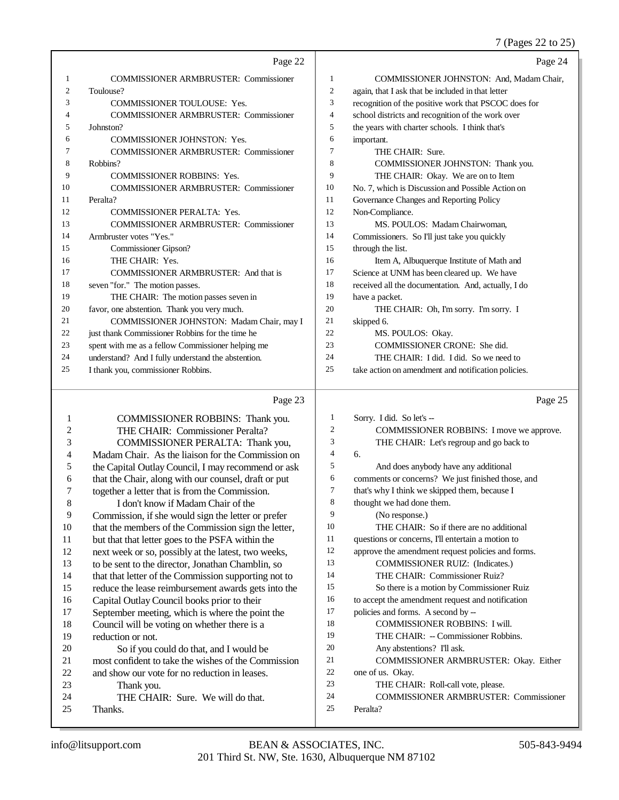7 (Pages 22 to 25)

|    |                                                    |    | $(1 \text{ m})$ $\omega = 10 \text{ m}$              |
|----|----------------------------------------------------|----|------------------------------------------------------|
|    | Page 22                                            |    | Page 24                                              |
| 1  | <b>COMMISSIONER ARMBRUSTER: Commissioner</b>       | 1  | COMMISSIONER JOHNSTON: And, Madam Chair,             |
| 2  | Toulouse?                                          | 2  | again, that I ask that be included in that letter    |
| 3  | <b>COMMISSIONER TOULOUSE: Yes.</b>                 | 3  | recognition of the positive work that PSCOC does for |
| 4  | <b>COMMISSIONER ARMBRUSTER: Commissioner</b>       | 4  | school districts and recognition of the work over    |
| 5  | Johnston?                                          | 5  | the years with charter schools. I think that's       |
| 6  | <b>COMMISSIONER JOHNSTON: Yes.</b>                 | 6  | important.                                           |
| 7  | <b>COMMISSIONER ARMBRUSTER: Commissioner</b>       | 7  | THE CHAIR: Sure.                                     |
| 8  | Robbins?                                           | 8  | COMMISSIONER JOHNSTON: Thank you.                    |
| 9  | <b>COMMISSIONER ROBBINS: Yes.</b>                  | 9  | THE CHAIR: Okay. We are on to Item                   |
| 10 | <b>COMMISSIONER ARMBRUSTER: Commissioner</b>       | 10 | No. 7, which is Discussion and Possible Action on    |
| 11 | Peralta?                                           | 11 | Governance Changes and Reporting Policy              |
| 12 | <b>COMMISSIONER PERALTA: Yes.</b>                  | 12 | Non-Compliance.                                      |
| 13 | <b>COMMISSIONER ARMBRUSTER: Commissioner</b>       | 13 | MS. POULOS: Madam Chairwoman.                        |
| 14 | Armbruster votes "Yes."                            | 14 | Commissioners. So I'll just take you quickly         |
| 15 | Commissioner Gipson?                               | 15 | through the list.                                    |
| 16 | THE CHAIR: Yes.                                    | 16 | Item A, Albuquerque Institute of Math and            |
| 17 | <b>COMMISSIONER ARMBRUSTER: And that is</b>        | 17 | Science at UNM has been cleared up. We have          |
| 18 | seven "for." The motion passes.                    | 18 | received all the documentation. And, actually, I do  |
| 19 | THE CHAIR: The motion passes seven in              | 19 | have a packet.                                       |
| 20 | favor, one abstention. Thank you very much.        | 20 | THE CHAIR: Oh, I'm sorry. I'm sorry. I               |
| 21 | COMMISSIONER JOHNSTON: Madam Chair, may I          | 21 | skipped 6.                                           |
| 22 | just thank Commissioner Robbins for the time he    | 22 | MS. POULOS: Okay.                                    |
| 23 | spent with me as a fellow Commissioner helping me  | 23 | COMMISSIONER CRONE: She did.                         |
| 24 | understand? And I fully understand the abstention. | 24 | THE CHAIR: I did. I did. So we need to               |
| 25 | I thank you, commissioner Robbins.                 | 25 | take action on amendment and notification policies.  |
|    |                                                    |    |                                                      |

# Page 23

|    | COMMISSIONER ROBBINS: Thank you.                     | 1              | Sorry. I did. So let's --                         |
|----|------------------------------------------------------|----------------|---------------------------------------------------|
| 2  | THE CHAIR: Commissioner Peralta?                     | 2              | COMMISSIONER ROBBINS: I move we approve.          |
| 3  | COMMISSIONER PERALTA: Thank you,                     | 3              | THE CHAIR: Let's regroup and go back to           |
| 4  | Madam Chair. As the liaison for the Commission on    | $\overline{4}$ | 6.                                                |
| 5  | the Capital Outlay Council, I may recommend or ask   | 5              | And does anybody have any additional              |
| 6  | that the Chair, along with our counsel, draft or put | 6              | comments or concerns? We just finished those, and |
| 7  | together a letter that is from the Commission.       | 7              | that's why I think we skipped them, because I     |
| 8  | I don't know if Madam Chair of the                   | 8              | thought we had done them.                         |
| 9  | Commission, if she would sign the letter or prefer   | 9              | (No response.)                                    |
| 10 | that the members of the Commission sign the letter,  | 10             | THE CHAIR: So if there are no additional          |
| 11 | but that that letter goes to the PSFA within the     | 11             | questions or concerns, I'll entertain a motion to |
| 12 | next week or so, possibly at the latest, two weeks,  | 12             | approve the amendment request policies and forms. |
| 13 | to be sent to the director, Jonathan Chamblin, so    | 13             | COMMISSIONER RUIZ: (Indicates.)                   |
| 14 | that that letter of the Commission supporting not to | 14             | THE CHAIR: Commissioner Ruiz?                     |
| 15 | reduce the lease reimbursement awards gets into the  | 15             | So there is a motion by Commissioner Ruiz         |
| 16 | Capital Outlay Council books prior to their          | 16             | to accept the amendment request and notification  |
| 17 | September meeting, which is where the point the      | 17             | policies and forms. A second by --                |
| 18 | Council will be voting on whether there is a         | 18             | <b>COMMISSIONER ROBBINS: I will.</b>              |
| 19 | reduction or not.                                    | 19             | THE CHAIR: -- Commissioner Robbins.               |
| 20 | So if you could do that, and I would be              | 20             | Any abstentions? I'll ask.                        |
| 21 | most confident to take the wishes of the Commission  | 21             | COMMISSIONER ARMBRUSTER: Okay. Either             |
| 22 | and show our vote for no reduction in leases.        | 22             | one of us. Okay.                                  |
| 23 | Thank you.                                           | 23             | THE CHAIR: Roll-call vote, please.                |
| 24 | THE CHAIR: Sure. We will do that.                    | 24             | <b>COMMISSIONER ARMBRUSTER: Commissioner</b>      |
| 25 | Thanks.                                              | 25             | Peralta?                                          |
|    |                                                      |                |                                                   |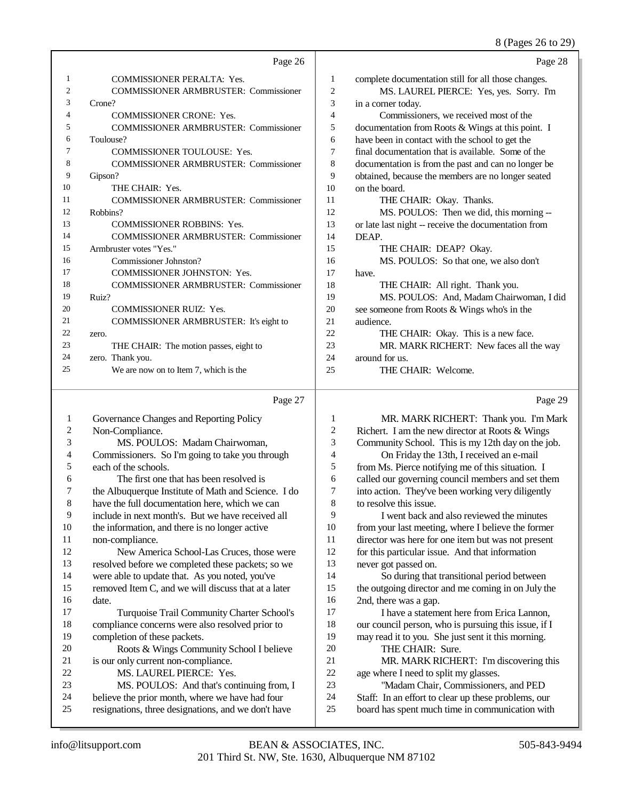# 8 (Pages 26 to 29)

|    | Page 26                                      |                | Page 28                                              |
|----|----------------------------------------------|----------------|------------------------------------------------------|
| 1  | <b>COMMISSIONER PERALTA: Yes.</b>            | 1              | complete documentation still for all those changes.  |
| 2  | <b>COMMISSIONER ARMBRUSTER: Commissioner</b> | $\overline{2}$ | MS. LAUREL PIERCE: Yes, yes. Sorry. I'm              |
| 3  | Crone?                                       | 3              | in a corner today.                                   |
| 4  | <b>COMMISSIONER CRONE: Yes.</b>              | 4              | Commissioners, we received most of the               |
| 5  | <b>COMMISSIONER ARMBRUSTER: Commissioner</b> | 5              | documentation from Roots & Wings at this point. I    |
| 6  | Toulouse?                                    | 6              | have been in contact with the school to get the      |
| 7  | <b>COMMISSIONER TOULOUSE: Yes.</b>           | 7              | final documentation that is available. Some of the   |
| 8  | <b>COMMISSIONER ARMBRUSTER: Commissioner</b> | 8              | documentation is from the past and can no longer be  |
| 9  | Gipson?                                      | 9              | obtained, because the members are no longer seated   |
| 10 | THE CHAIR: Yes.                              | 10             | on the board.                                        |
| 11 | <b>COMMISSIONER ARMBRUSTER: Commissioner</b> | 11             | THE CHAIR: Okay. Thanks.                             |
| 12 | Robbins?                                     | 12             | MS. POULOS: Then we did, this morning --             |
| 13 | <b>COMMISSIONER ROBBINS: Yes.</b>            | 13             | or late last night -- receive the documentation from |
| 14 | <b>COMMISSIONER ARMBRUSTER: Commissioner</b> | 14             | DEAP.                                                |
| 15 | Armbruster votes "Yes."                      | 15             | THE CHAIR: DEAP? Okay.                               |
| 16 | Commissioner Johnston?                       | 16             | MS. POULOS: So that one, we also don't               |
| 17 | <b>COMMISSIONER JOHNSTON: Yes.</b>           | 17             | have.                                                |
| 18 | <b>COMMISSIONER ARMBRUSTER: Commissioner</b> | 18             | THE CHAIR: All right. Thank you.                     |
| 19 | Ruiz?                                        | 19             | MS. POULOS: And, Madam Chairwoman, I did             |
| 20 | <b>COMMISSIONER RUIZ: Yes.</b>               | 20             | see someone from Roots & Wings who's in the          |
| 21 | COMMISSIONER ARMBRUSTER: It's eight to       | 2.1            | audience.                                            |
| 22 | zero.                                        | 22.            | THE CHAIR: Okay. This is a new face.                 |
| 23 | THE CHAIR: The motion passes, eight to       | 23             | MR. MARK RICHERT: New faces all the way              |
| 24 | zero. Thank you.                             | 24             | around for us.                                       |
| 25 | We are now on to Item 7, which is the        | 25             | THE CHAIR: Welcome.                                  |
|    |                                              |                |                                                      |

|    | Page 27                                             |    | Page 29                                              |
|----|-----------------------------------------------------|----|------------------------------------------------------|
| 1  | Governance Changes and Reporting Policy             | 1  | MR. MARK RICHERT: Thank you. I'm Mark                |
| 2  | Non-Compliance.                                     | 2  | Richert. I am the new director at Roots & Wings      |
| 3  | MS. POULOS: Madam Chairwoman,                       | 3  | Community School. This is my 12th day on the job.    |
| 4  | Commissioners. So I'm going to take you through     | 4  | On Friday the 13th, I received an e-mail             |
| 5  | each of the schools.                                | 5  | from Ms. Pierce notifying me of this situation. I    |
| 6  | The first one that has been resolved is             | 6  | called our governing council members and set them    |
| 7  | the Albuquerque Institute of Math and Science. I do | 7  | into action. They've been working very diligently    |
| 8  | have the full documentation here, which we can      | 8  | to resolve this issue.                               |
| 9  | include in next month's. But we have received all   | 9  | I went back and also reviewed the minutes            |
| 10 | the information, and there is no longer active      | 10 | from your last meeting, where I believe the former   |
| 11 | non-compliance.                                     | 11 | director was here for one item but was not present   |
| 12 | New America School-Las Cruces, those were           | 12 | for this particular issue. And that information      |
| 13 | resolved before we completed these packets; so we   | 13 | never got passed on.                                 |
| 14 | were able to update that. As you noted, you've      | 14 | So during that transitional period between           |
| 15 | removed Item C, and we will discuss that at a later | 15 | the outgoing director and me coming in on July the   |
| 16 | date.                                               | 16 | 2nd, there was a gap.                                |
| 17 | Turquoise Trail Community Charter School's          | 17 | I have a statement here from Erica Lannon,           |
| 18 | compliance concerns were also resolved prior to     | 18 | our council person, who is pursuing this issue, if I |
| 19 | completion of these packets.                        | 19 | may read it to you. She just sent it this morning.   |
| 20 | Roots & Wings Community School I believe            | 20 | THE CHAIR: Sure.                                     |
| 21 | is our only current non-compliance.                 | 21 | MR. MARK RICHERT: I'm discovering this               |
| 22 | MS. LAUREL PIERCE: Yes.                             | 22 | age where I need to split my glasses.                |
| 23 | MS. POULOS: And that's continuing from, I           | 23 | "Madam Chair, Commissioners, and PED                 |
| 24 | believe the prior month, where we have had four     | 24 | Staff: In an effort to clear up these problems, our  |
| 25 | resignations, three designations, and we don't have | 25 | board has spent much time in communication with      |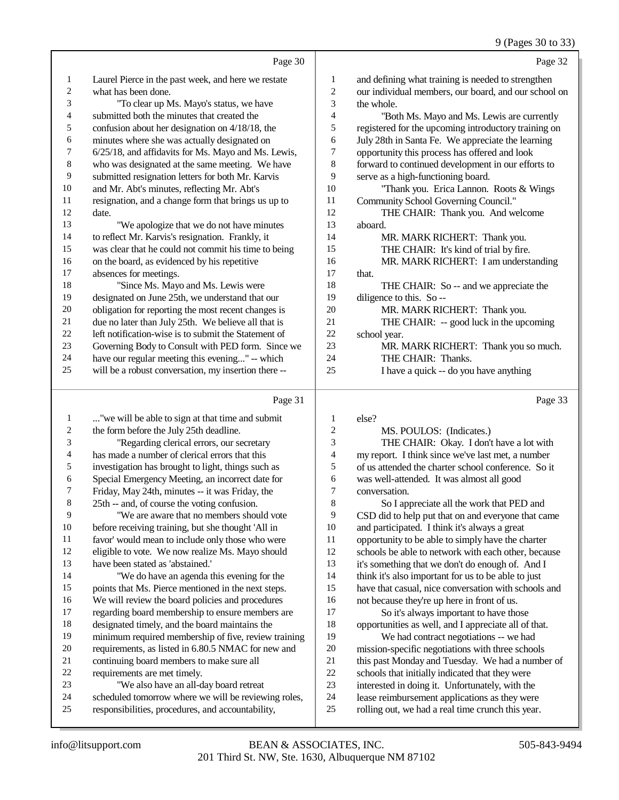## 9 (Pages 30 to 33)

|                         |                                                      |                         | $\sigma$ (1 ages 50 to 55                            |
|-------------------------|------------------------------------------------------|-------------------------|------------------------------------------------------|
|                         | Page 30                                              |                         | Page 32                                              |
| $\mathbf{1}$            | Laurel Pierce in the past week, and here we restate  | $\mathbf{1}$            | and defining what training is needed to strengthen   |
| $\sqrt{2}$              | what has been done.                                  | $\overline{c}$          | our individual members, our board, and our school on |
| 3                       | "To clear up Ms. Mayo's status, we have              | 3                       | the whole.                                           |
| $\overline{4}$          | submitted both the minutes that created the          | $\overline{\mathbf{4}}$ | "Both Ms. Mayo and Ms. Lewis are currently           |
| $\mathfrak s$           | confusion about her designation on 4/18/18, the      | 5                       | registered for the upcoming introductory training on |
| 6                       | minutes where she was actually designated on         | $\sqrt{6}$              | July 28th in Santa Fe. We appreciate the learning    |
| $\boldsymbol{7}$        | 6/25/18, and affidavits for Ms. Mayo and Ms. Lewis,  | 7                       | opportunity this process has offered and look        |
| $\,8\,$                 | who was designated at the same meeting. We have      | $\,8\,$                 | forward to continued development in our efforts to   |
| $\overline{9}$          | submitted resignation letters for both Mr. Karvis    | 9                       | serve as a high-functioning board.                   |
| 10                      | and Mr. Abt's minutes, reflecting Mr. Abt's          | 10                      | "Thank you. Erica Lannon. Roots & Wings              |
| 11                      | resignation, and a change form that brings us up to  | 11                      | Community School Governing Council."                 |
| 12                      | date.                                                | 12                      | THE CHAIR: Thank you. And welcome                    |
| 13                      | "We apologize that we do not have minutes            | 13                      | aboard.                                              |
| 14                      | to reflect Mr. Karvis's resignation. Frankly, it     | 14                      | MR. MARK RICHERT: Thank you.                         |
| 15                      | was clear that he could not commit his time to being | 15                      | THE CHAIR: It's kind of trial by fire.               |
| 16                      | on the board, as evidenced by his repetitive         | 16                      | MR. MARK RICHERT: I am understanding                 |
| 17                      | absences for meetings.                               | 17                      | that.                                                |
| 18                      | "Since Ms. Mayo and Ms. Lewis were                   | 18                      | THE CHAIR: So -- and we appreciate the               |
| 19                      | designated on June 25th, we understand that our      | 19                      | diligence to this. So --                             |
| 20                      | obligation for reporting the most recent changes is  | 20                      | MR. MARK RICHERT: Thank you.                         |
| $21\,$                  | due no later than July 25th. We believe all that is  | 21                      | THE CHAIR: -- good luck in the upcoming              |
| 22                      | left notification-wise is to submit the Statement of | $22\,$                  | school year.                                         |
| 23                      | Governing Body to Consult with PED form. Since we    | 23                      | MR. MARK RICHERT: Thank you so much.                 |
| 24                      | have our regular meeting this evening" -- which      | 24                      | THE CHAIR: Thanks.                                   |
| 25                      | will be a robust conversation, my insertion there -- | 25                      | I have a quick -- do you have anything               |
|                         |                                                      |                         |                                                      |
|                         | Page 31                                              |                         | Page 33                                              |
| 1                       | "we will be able to sign at that time and submit     | 1                       | else?                                                |
| $\boldsymbol{2}$        | the form before the July 25th deadline.              | $\overline{c}$          | MS. POULOS: (Indicates.)                             |
| 3                       | "Regarding clerical errors, our secretary            | 3                       | THE CHAIR: Okay. I don't have a lot with             |
| $\overline{\mathbf{4}}$ | has made a number of clerical errors that this       | $\overline{\mathbf{4}}$ | my report. I think since we've last met, a number    |
| 5                       | investigation has brought to light, things such as   | 5                       | of us attended the charter school conference. So it  |
| $\sqrt{6}$              | Special Emergency Meeting, an incorrect date for     | 6                       | was well-attended. It was almost all good            |
| $\boldsymbol{7}$        | Friday, May 24th, minutes -- it was Friday, the      | $\tau$                  | conversation.                                        |
| $\,8\,$                 | 25th -- and, of course the voting confusion.         | $\,8\,$                 | So I appreciate all the work that PED and            |
| 9                       | "We are aware that no members should vote            | 9                       | CSD did to help put that on and everyone that came   |
| 10                      | before receiving training, but she thought 'All in   | $10\,$                  | and participated. I think it's always a great        |
| 11                      | favor' would mean to include only those who were     | 11                      | opportunity to be able to simply have the charter    |
| 12                      | eligible to vote. We now realize Ms. Mayo should     | 12                      | schools be able to network with each other, because  |
| 13                      | have been stated as 'abstained.'                     | 13                      | it's something that we don't do enough of. And I     |

 "We do have an agenda this evening for the points that Ms. Pierce mentioned in the next steps. We will review the board policies and procedures regarding board membership to ensure members are designated timely, and the board maintains the minimum required membership of five, review training requirements, as listed in 6.80.5 NMAC for new and continuing board members to make sure all

- requirements are met timely.
- "We also have an all-day board retreat
- scheduled tomorrow where we will be reviewing roles,
- responsibilities, procedures, and accountability,
- it's something that we don't do enough of. And I 14 think it's also important for us to be able to just have that casual, nice conversation with schools and 16 not because they're up here in front of us.<br>17 So it's always important to have the So it's always important to have those 18 opportunities as well, and I appreciate all of that.<br>19 We had contract negotiations -- we had We had contract negotiations -- we had

20 mission-specific negotiations with three schools<br>21 this past Monday and Tuesday. We had a number 21 this past Monday and Tuesday. We had a number of<br>22 schools that initially indicated that they were 22 schools that initially indicated that they were<br>23 interested in doing it. Unfortunately, with the 23 interested in doing it. Unfortunately, with the<br>24 lease reimbursement applications as they were 24 lease reimbursement applications as they were<br>25 rolling out, we had a real time crunch this year. rolling out, we had a real time crunch this year.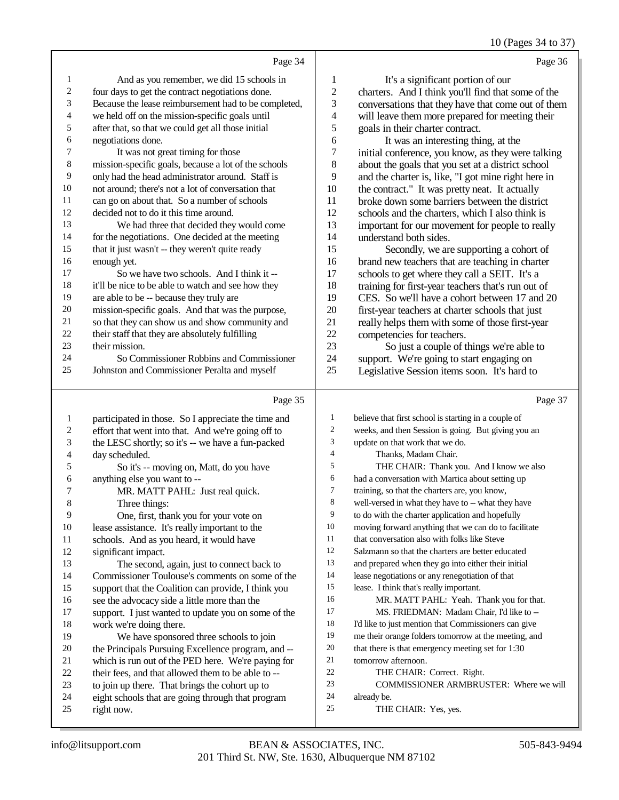10 (Pages 34 to 37)

|                          |                                                                                                        |                  | $10$ (rages $34$ to $37$                                                                               |
|--------------------------|--------------------------------------------------------------------------------------------------------|------------------|--------------------------------------------------------------------------------------------------------|
|                          | Page 34                                                                                                |                  | Page 36                                                                                                |
| 1                        | And as you remember, we did 15 schools in                                                              | $\mathbf{1}$     | It's a significant portion of our                                                                      |
| $\sqrt{2}$               | four days to get the contract negotiations done.                                                       | $\boldsymbol{2}$ | charters. And I think you'll find that some of the                                                     |
| 3                        | Because the lease reimbursement had to be completed,                                                   | 3                | conversations that they have that come out of them                                                     |
| $\overline{\mathcal{L}}$ | we held off on the mission-specific goals until                                                        | $\overline{4}$   | will leave them more prepared for meeting their                                                        |
| 5                        | after that, so that we could get all those initial                                                     | 5                | goals in their charter contract.                                                                       |
| 6                        | negotiations done.                                                                                     | 6                | It was an interesting thing, at the                                                                    |
| 7                        | It was not great timing for those                                                                      | $\boldsymbol{7}$ | initial conference, you know, as they were talking                                                     |
| $\,$ 8 $\,$              | mission-specific goals, because a lot of the schools                                                   | 8                | about the goals that you set at a district school                                                      |
| 9                        | only had the head administrator around. Staff is                                                       | 9                | and the charter is, like, "I got mine right here in                                                    |
| $10\,$                   | not around; there's not a lot of conversation that                                                     | 10               | the contract." It was pretty neat. It actually                                                         |
| 11                       | can go on about that. So a number of schools                                                           | 11               | broke down some barriers between the district                                                          |
| 12                       | decided not to do it this time around.                                                                 | 12               | schools and the charters, which I also think is                                                        |
| 13                       | We had three that decided they would come                                                              | 13               | important for our movement for people to really                                                        |
| 14                       | for the negotiations. One decided at the meeting                                                       | 14               | understand both sides.                                                                                 |
| 15                       | that it just wasn't -- they weren't quite ready                                                        | 15               | Secondly, we are supporting a cohort of                                                                |
| 16                       | enough yet.                                                                                            | 16               | brand new teachers that are teaching in charter                                                        |
| 17                       | So we have two schools. And I think it --                                                              | 17               | schools to get where they call a SEIT. It's a                                                          |
| 18                       | it'll be nice to be able to watch and see how they                                                     | 18               | training for first-year teachers that's run out of                                                     |
| 19                       | are able to be -- because they truly are                                                               | 19               | CES. So we'll have a cohort between 17 and 20                                                          |
| $20\,$                   | mission-specific goals. And that was the purpose,                                                      | 20               | first-year teachers at charter schools that just                                                       |
| $21\,$                   | so that they can show us and show community and                                                        | 21               | really helps them with some of those first-year                                                        |
| $22\,$                   | their staff that they are absolutely fulfilling                                                        | 22               | competencies for teachers.                                                                             |
| 23                       | their mission.                                                                                         | 23               | So just a couple of things we're able to                                                               |
| 24                       | So Commissioner Robbins and Commissioner                                                               | 24               | support. We're going to start engaging on                                                              |
| 25                       | Johnston and Commissioner Peralta and myself                                                           | 25               | Legislative Session items soon. It's hard to                                                           |
|                          |                                                                                                        |                  |                                                                                                        |
|                          |                                                                                                        |                  |                                                                                                        |
|                          | Page 35                                                                                                |                  | Page 37                                                                                                |
| $\mathbf{1}$             | participated in those. So I appreciate the time and                                                    | 1                | believe that first school is starting in a couple of                                                   |
| $\overline{\mathbf{c}}$  | effort that went into that. And we're going off to                                                     | $\overline{2}$   | weeks, and then Session is going. But giving you an                                                    |
| 3                        | the LESC shortly; so it's -- we have a fun-packed                                                      | 3                | update on that work that we do.                                                                        |
| $\overline{\mathcal{L}}$ | day scheduled.                                                                                         | $\overline{4}$   | Thanks, Madam Chair.                                                                                   |
| 5                        | So it's -- moving on, Matt, do you have                                                                | 5                | THE CHAIR: Thank you. And I know we also                                                               |
| 6                        | anything else you want to --                                                                           | 6<br>$\tau$      | had a conversation with Martica about setting up                                                       |
| 7                        | MR. MATT PAHL: Just real quick.                                                                        |                  | training, so that the charters are, you know,                                                          |
| $\,8\,$                  | Three things:                                                                                          | $\,8\,$          | well-versed in what they have to -- what they have                                                     |
| 9                        | One, first, thank you for your vote on                                                                 | 9<br>10          | to do with the charter application and hopefully                                                       |
| 10                       | lease assistance. It's really important to the                                                         | 11               | moving forward anything that we can do to facilitate                                                   |
| 11                       | schools. And as you heard, it would have                                                               | 12               | that conversation also with folks like Steve<br>Salzmann so that the charters are better educated      |
| 12<br>13                 | significant impact.                                                                                    | 13               |                                                                                                        |
| 14                       | The second, again, just to connect back to                                                             | 14               | and prepared when they go into either their initial<br>lease negotiations or any renegotiation of that |
| 15                       | Commissioner Toulouse's comments on some of the<br>support that the Coalition can provide, I think you | 15               | lease. I think that's really important.                                                                |
| 16                       | see the advocacy side a little more than the                                                           | 16               | MR. MATT PAHL: Yeah. Thank you for that.                                                               |
| 17                       | support. I just wanted to update you on some of the                                                    | 17               | MS. FRIEDMAN: Madam Chair, I'd like to --                                                              |
| 18                       | work we're doing there.                                                                                | 18               | I'd like to just mention that Commissioners can give                                                   |
| 19                       | We have sponsored three schools to join                                                                | 19               | me their orange folders tomorrow at the meeting, and                                                   |
| $20\,$                   | the Principals Pursuing Excellence program, and --                                                     | 20               | that there is that emergency meeting set for 1:30                                                      |
| 21                       | which is run out of the PED here. We're paying for                                                     | 21               | tomorrow afternoon.                                                                                    |
| $22\,$                   | their fees, and that allowed them to be able to --                                                     | 22               | THE CHAIR: Correct. Right.                                                                             |
| 23                       | to join up there. That brings the cohort up to                                                         | 23               | COMMISSIONER ARMBRUSTER: Where we will                                                                 |
| $24\,$<br>$25\,$         | eight schools that are going through that program<br>right now.                                        | 24<br>25         | already be.<br>THE CHAIR: Yes, yes.                                                                    |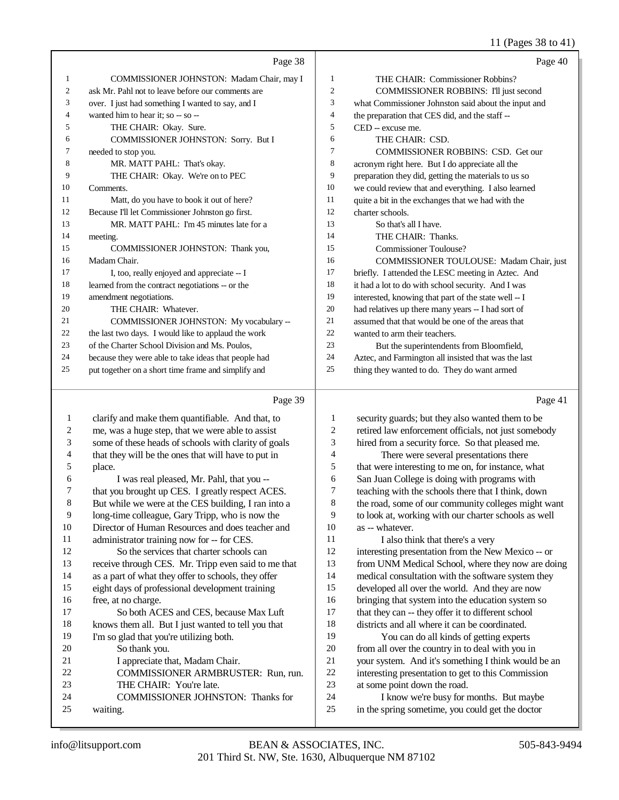11 (Pages 38 to 41)

|                | Page 38                                              |                | Page 40                                              |
|----------------|------------------------------------------------------|----------------|------------------------------------------------------|
| 1              | COMMISSIONER JOHNSTON: Madam Chair, may I            | $\mathbf{1}$   | THE CHAIR: Commissioner Robbins?                     |
| $\overline{c}$ | ask Mr. Pahl not to leave before our comments are    | $\overline{2}$ | COMMISSIONER ROBBINS: I'll just second               |
| 3              | over. I just had something I wanted to say, and I    | 3              | what Commissioner Johnston said about the input and  |
| 4              | wanted him to hear it; so -- so --                   | $\overline{4}$ | the preparation that CES did, and the staff --       |
| 5              | THE CHAIR: Okay. Sure.                               | 5              | CED -- excuse me.                                    |
| 6              | COMMISSIONER JOHNSTON: Sorry. But I                  | 6              | THE CHAIR: CSD.                                      |
| 7              | needed to stop you.                                  | $\overline{7}$ | COMMISSIONER ROBBINS: CSD. Get our                   |
| 8              | MR. MATT PAHL: That's okay.                          | 8              | acronym right here. But I do appreciate all the      |
| 9              | THE CHAIR: Okay. We're on to PEC                     | 9              | preparation they did, getting the materials to us so |
| 10             | Comments.                                            | 10             | we could review that and everything. I also learned  |
| 11             | Matt, do you have to book it out of here?            | 11             | quite a bit in the exchanges that we had with the    |
| 12             | Because I'll let Commissioner Johnston go first.     | 12             | charter schools.                                     |
| 13             | MR. MATT PAHL: I'm 45 minutes late for a             | 13             | So that's all I have.                                |
| 14             | meeting.                                             | 14             | THE CHAIR: Thanks.                                   |
| 15             | COMMISSIONER JOHNSTON: Thank you,                    | 15             | <b>Commissioner Toulouse?</b>                        |
| 16             | Madam Chair.                                         | 16             | COMMISSIONER TOULOUSE: Madam Chair, just             |
| 17             | I, too, really enjoyed and appreciate -- I           | 17             | briefly. I attended the LESC meeting in Aztec. And   |
| 18             | learned from the contract negotiations -- or the     | 18             | it had a lot to do with school security. And I was   |
| 19             | amendment negotiations.                              | 19             | interested, knowing that part of the state well -- I |
| 20             | THE CHAIR: Whatever.                                 | 20             | had relatives up there many years -- I had sort of   |
| 21             | COMMISSIONER JOHNSTON: My vocabulary --              | 21             | assumed that that would be one of the areas that     |
| 22             | the last two days. I would like to applaud the work  | 22             | wanted to arm their teachers.                        |
| 23             | of the Charter School Division and Ms. Poulos,       | 23             | But the superintendents from Bloomfield,             |
| 24             | because they were able to take ideas that people had | 24             | Aztec, and Farmington all insisted that was the last |
| 25             | put together on a short time frame and simplify and  | 25             | thing they wanted to do. They do want armed          |
|                |                                                      |                |                                                      |
|                | Page 39                                              |                | Page 41                                              |
| 1              | clarify and make them quantifiable. And that, to     | 1              | security guards; but they also wanted them to be     |
| 2              | me, was a huge step, that we were able to assist     | $\mathfrak{2}$ | retired law enforcement officials, not just somebody |
| 3              | some of these heads of schools with clarity of goals | 3              | hired from a security force. So that pleased me.     |
| 4              | that they will be the ones that will have to put in  | $\overline{4}$ | There were several presentations there               |
| 5              | place.                                               | 5              | that were interesting to me on, for instance, what   |

I was real pleased, Mr. Pahl, that you --

- that you brought up CES. I greatly respect ACES.
- But while we were at the CES building, I ran into a

long-time colleague, Gary Tripp, who is now the

Director of Human Resources and does teacher and

 administrator training now for -- for CES. So the services that charter schools can

receive through CES. Mr. Tripp even said to me that

- as a part of what they offer to schools, they offer
- eight days of professional development training
- free, at no charge. So both ACES and CES, because Max Luft knows them all. But I just wanted to tell you that
- I'm so glad that you're utilizing both.

So thank you.

- 21 I appreciate that, Madam Chair. COMMISSIONER ARMBRUSTER: Run, run.
- THE CHAIR: You're late.
- COMMISSIONER JOHNSTON: Thanks for waiting.
- that were interesting to me on, for instance, what San Juan College is doing with programs with teaching with the schools there that I think, down the road, some of our community colleges might want to look at, working with our charter schools as well as -- whatever. 11 I also think that there's a very interesting presentation from the New Mexico -- or from UNM Medical School, where they now are doing medical consultation with the software system they developed all over the world. And they are now bringing that system into the education system so that they can -- they offer it to different school districts and all where it can be coordinated. You can do all kinds of getting experts from all over the country in to deal with you in your system. And it's something I think would be an interesting presentation to get to this Commission at some point down the road. I know we're busy for months. But maybe in the spring sometime, you could get the doctor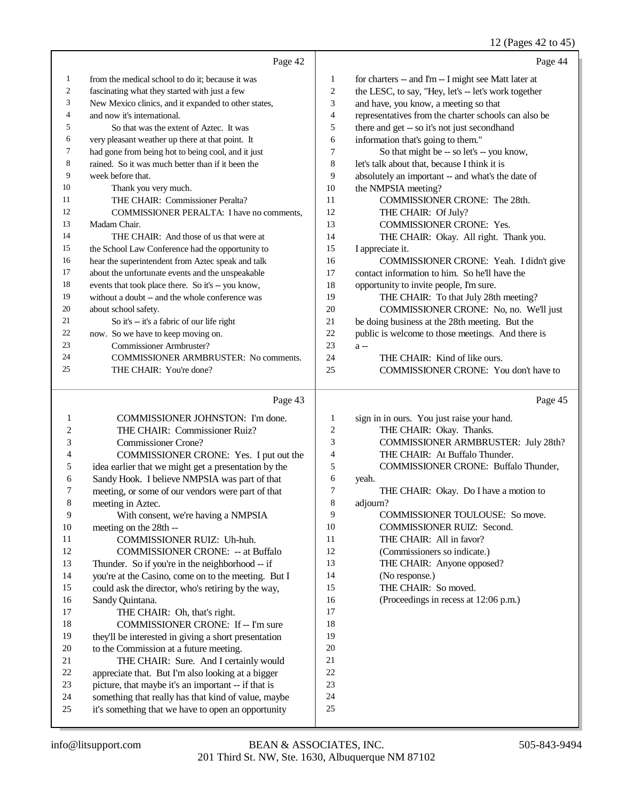2 (Pages  $42$  to  $45$ )

|                  |                                                      |                | 12 (Pages 42 to 43)                                  |
|------------------|------------------------------------------------------|----------------|------------------------------------------------------|
|                  | Page 42                                              |                | Page 44                                              |
| $\mathbf{1}$     | from the medical school to do it; because it was     | $\mathbf{1}$   | for charters -- and I'm -- I might see Matt later at |
| $\mathfrak{2}$   | fascinating what they started with just a few        | $\overline{c}$ | the LESC, to say, "Hey, let's -- let's work together |
| 3                | New Mexico clinics, and it expanded to other states, | 3              | and have, you know, a meeting so that                |
| $\overline{4}$   | and now it's international.                          | $\overline{4}$ | representatives from the charter schools can also be |
| 5                | So that was the extent of Aztec. It was              | 5              | there and get -- so it's not just secondhand         |
| 6                | very pleasant weather up there at that point. It     | 6              | information that's going to them."                   |
| $\tau$           | had gone from being hot to being cool, and it just   | $\overline{7}$ | So that might be -- so let's -- you know,            |
| $\boldsymbol{8}$ | rained. So it was much better than if it been the    | $\,$ 8 $\,$    | let's talk about that, because I think it is         |
| 9                | week before that.                                    | 9              | absolutely an important -- and what's the date of    |
| 10               | Thank you very much.                                 | 10             | the NMPSIA meeting?                                  |
| 11               | THE CHAIR: Commissioner Peralta?                     | 11             | COMMISSIONER CRONE: The 28th.                        |
| 12               | COMMISSIONER PERALTA: I have no comments,            | 12             | THE CHAIR: Of July?                                  |
| 13               | Madam Chair.                                         | 13             | COMMISSIONER CRONE: Yes.                             |
| 14               | THE CHAIR: And those of us that were at              | 14             | THE CHAIR: Okay. All right. Thank you.               |
| 15               | the School Law Conference had the opportunity to     | 15             | I appreciate it.                                     |
| 16               | hear the superintendent from Aztec speak and talk    | 16             | COMMISSIONER CRONE: Yeah. I didn't give              |
| 17               | about the unfortunate events and the unspeakable     | 17             | contact information to him. So he'll have the        |
| 18               | events that took place there. So it's -- you know,   | 18             | opportunity to invite people, I'm sure.              |
| 19               | without a doubt -- and the whole conference was      | 19             | THE CHAIR: To that July 28th meeting?                |
| 20               | about school safety.                                 | 20             | COMMISSIONER CRONE: No, no. We'll just               |
| 21               | So it's -- it's a fabric of our life right           | 21             | be doing business at the 28th meeting. But the       |
| 22               | now. So we have to keep moving on.                   | 22             | public is welcome to those meetings. And there is    |
| 23               | <b>Commissioner Armbruster?</b>                      | 23             | $a -$                                                |
| 24               | <b>COMMISSIONER ARMBRUSTER: No comments.</b>         | 24             | THE CHAIR: Kind of like ours.                        |
| 25               | THE CHAIR: You're done?                              | 25             | COMMISSIONER CRONE: You don't have to                |
|                  |                                                      |                |                                                      |
|                  | Page 43                                              |                | Page 45                                              |
| 1                | COMMISSIONER JOHNSTON: I'm done.                     | 1              | sign in in ours. You just raise your hand.           |
| $\overline{c}$   | THE CHAIR: Commissioner Ruiz?                        | $\overline{2}$ | THE CHAIR: Okay. Thanks.                             |
| 3                | <b>Commissioner Crone?</b>                           | 3              | COMMISSIONER ARMBRUSTER: July 28th?                  |
| 4                | COMMISSIONER CRONE: Yes. I put out the               | $\overline{4}$ | THE CHAIR: At Buffalo Thunder.                       |
| 5                | idea earlier that we might get a presentation by the | 5              | COMMISSIONER CRONE: Buffalo Thunder,                 |
| 6                | Sandy Hook. I believe NMPSIA was part of that        | 6              | yeah.                                                |
| $\boldsymbol{7}$ | meeting, or some of our vendors were part of that    | $\overline{7}$ | THE CHAIR: Okay. Do I have a motion to               |
| 8                | meeting in Aztec.                                    | 8              | adjourn?                                             |
| 9                | With consent, we're having a NMPSIA                  | 9              | COMMISSIONER TOULOUSE: So move.                      |
| 10               | meeting on the 28th --                               | 10             | COMMISSIONER RUIZ: Second.                           |
| 11               | COMMISSIONER RUIZ: Uh-huh.                           | 11             | THE CHAIR: All in favor?                             |
| 12               | <b>COMMISSIONER CRONE: -- at Buffalo</b>             | 12             | (Commissioners so indicate.)                         |

- THE CHAIR: Anyone opposed?
- (No response.)
- 15 THE CHAIR: So moved.
- (Proceedings in recess at 12:06 p.m.)
- could ask the director, who's retiring by the way, Sandy Quintana. THE CHAIR: Oh, that's right. 18 COMMISSIONER CRONE: If -- I'm sure they'll be interested in giving a short presentation to the Commission at a future meeting. THE CHAIR: Sure. And I certainly would appreciate that. But I'm also looking at a bigger picture, that maybe it's an important -- if that is something that really has that kind of value, maybe it's something that we have to open an opportunity

13 Thunder. So if you're in the neighborhood -- if you're at the Casino, come on to the meeting. But I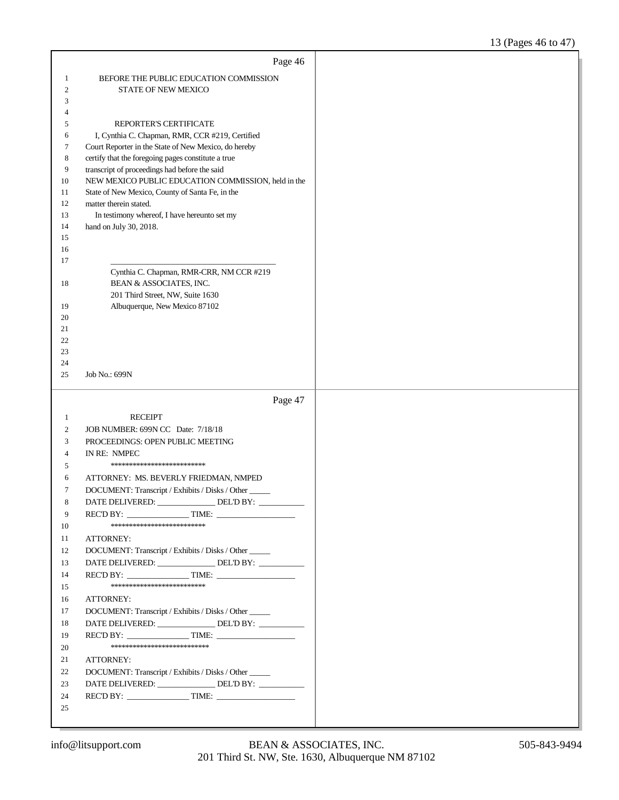|                  | Page 46                                               |  |
|------------------|-------------------------------------------------------|--|
| 1                | BEFORE THE PUBLIC EDUCATION COMMISSION                |  |
| $\boldsymbol{2}$ | <b>STATE OF NEW MEXICO</b>                            |  |
| 3                |                                                       |  |
| 4                |                                                       |  |
| 5                | REPORTER'S CERTIFICATE                                |  |
| 6                | I, Cynthia C. Chapman, RMR, CCR #219, Certified       |  |
| 7                | Court Reporter in the State of New Mexico, do hereby  |  |
| 8                | certify that the foregoing pages constitute a true    |  |
| 9                | transcript of proceedings had before the said         |  |
| 10               | NEW MEXICO PUBLIC EDUCATION COMMISSION, held in the   |  |
| 11               | State of New Mexico, County of Santa Fe, in the       |  |
| 12               | matter therein stated.                                |  |
| 13               | In testimony whereof, I have hereunto set my          |  |
| 14               | hand on July 30, 2018.                                |  |
| 15<br>16         |                                                       |  |
| 17               |                                                       |  |
|                  | Cynthia C. Chapman, RMR-CRR, NM CCR #219              |  |
| 18               | BEAN & ASSOCIATES, INC.                               |  |
|                  | 201 Third Street, NW, Suite 1630                      |  |
| 19               | Albuquerque, New Mexico 87102                         |  |
| 20               |                                                       |  |
| 21               |                                                       |  |
| 22               |                                                       |  |
| 23               |                                                       |  |
| 24<br>25         | Job No.: 699N                                         |  |
|                  |                                                       |  |
|                  |                                                       |  |
|                  |                                                       |  |
|                  | Page 47                                               |  |
| 1                | <b>RECEIPT</b>                                        |  |
| 2                | JOB NUMBER: 699N CC Date: 7/18/18                     |  |
| 3                | PROCEEDINGS: OPEN PUBLIC MEETING                      |  |
| 4                | IN RE: NMPEC<br>*************************             |  |
| 5                |                                                       |  |
| 6                | ATTORNEY: MS. BEVERLY FRIEDMAN, NMPED                 |  |
| 7<br>8           | DOCUMENT: Transcript / Exhibits / Disks / Other       |  |
| 9                | DATE DELIVERED:<br>DEL'D BY:                          |  |
| 10               | $RECD BY:$ TIME:<br>***************************       |  |
| 11               | ATTORNEY:                                             |  |
| 12               | DOCUMENT: Transcript / Exhibits / Disks / Other _____ |  |
| 13               | DATE DELIVERED: ________________ DEL'D BY: __________ |  |
| 14               |                                                       |  |
| 15               | **************************                            |  |
| 16               | <b>ATTORNEY:</b>                                      |  |
| 17               | DOCUMENT: Transcript / Exhibits / Disks / Other       |  |
| 18               | DATE DELIVERED: ________________ DEL'D BY: __________ |  |
| 19               |                                                       |  |
| 20               | ***************************                           |  |
| 21               | ATTORNEY:                                             |  |
| 22               | DOCUMENT: Transcript / Exhibits / Disks / Other       |  |
| 23               | DATE DELIVERED: _______________ DEL'D BY: __________  |  |
| 24<br>25         |                                                       |  |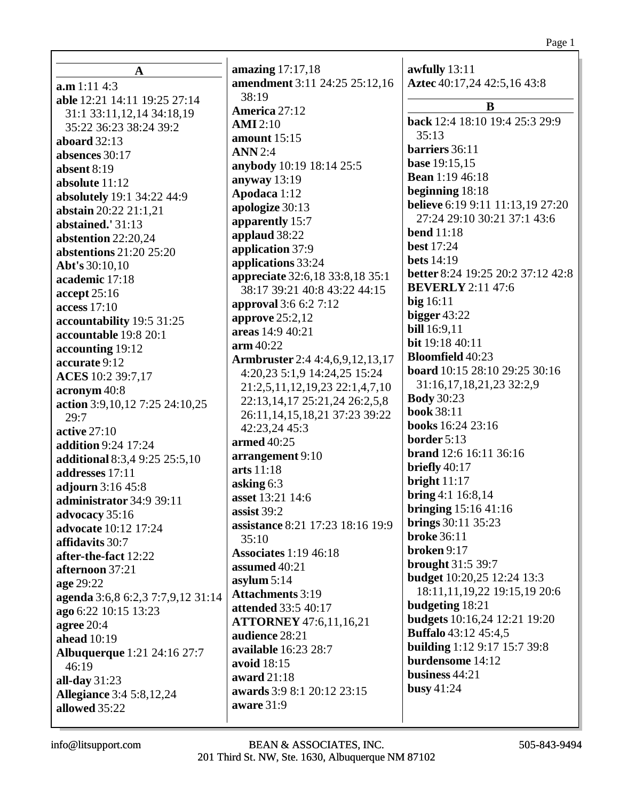| $\mathbf A$                        | amazing $17:17,18$                       | awfully 13:11                            |
|------------------------------------|------------------------------------------|------------------------------------------|
| a.m 1:11 4:3                       | amendment 3:11 24:25 25:12,16            | Aztec 40:17,24 42:5,16 43:8              |
| able 12:21 14:11 19:25 27:14       | 38:19                                    |                                          |
| 31:1 33:11, 12, 14 34:18, 19       | America 27:12                            | B                                        |
| 35:22 36:23 38:24 39:2             | <b>AMI</b> 2:10                          | back 12:4 18:10 19:4 25:3 29:9           |
| aboard $32:13$                     | amount $15:15$                           | 35:13                                    |
| absences 30:17                     | <b>ANN</b> 2:4                           | barriers 36:11                           |
| absent 8:19                        | anybody 10:19 18:14 25:5                 | <b>base</b> 19:15,15                     |
| absolute 11:12                     | anyway $13:19$                           | <b>Bean</b> 1:19 46:18                   |
| absolutely 19:1 34:22 44:9         | Apodaca 1:12                             | beginning 18:18                          |
| abstain 20:22 21:1,21              | apologize 30:13                          | <b>believe</b> 6:19 9:11 11:13,19 27:20  |
| abstained.' 31:13                  | apparently 15:7                          | 27:24 29:10 30:21 37:1 43:6              |
| abstention 22:20,24                | applaud 38:22                            | <b>bend</b> 11:18                        |
| abstentions 21:20 25:20            | application 37:9                         | <b>best</b> 17:24                        |
| Abt's 30:10,10                     | applications 33:24                       | <b>bets</b> 14:19                        |
| academic 17:18                     | appreciate 32:6,18 33:8,18 35:1          | <b>better</b> 8:24 19:25 20:2 37:12 42:8 |
| accept 25:16                       | 38:17 39:21 40:8 43:22 44:15             | <b>BEVERLY</b> 2:11 47:6                 |
| access 17:10                       | approval 3:6 6:2 7:12                    | $big$ 16:11                              |
| accountability 19:5 31:25          | approve $25:2,12$                        | bigger $43:22$                           |
| accountable 19:8 20:1              | areas 14:9 40:21                         | <b>bill</b> 16:9,11                      |
| accounting 19:12                   | $arm\,40:22$                             | bit 19:18 40:11                          |
| accurate 9:12                      | <b>Armbruster</b> 2:4 4:4,6,9,12,13,17   | <b>Bloomfield 40:23</b>                  |
| ACES 10:2 39:7,17                  | 4:20,23 5:1,9 14:24,25 15:24             | board 10:15 28:10 29:25 30:16            |
| acronym 40:8                       | 21:2,5,11,12,19,23 22:1,4,7,10           | 31:16, 17, 18, 21, 23 32:2, 9            |
| action 3:9, 10, 12 7:25 24:10, 25  | 22:13, 14, 17 25:21, 24 26:2, 5, 8       | <b>Body</b> 30:23<br><b>book 38:11</b>   |
| 29:7                               | 26:11, 14, 15, 18, 21 37: 23 39: 22      |                                          |
| <b>active 27:10</b>                | 42:23,24 45:3                            | books 16:24 23:16<br>border 5:13         |
| <b>addition</b> 9:24 17:24         | armed 40:25                              | brand 12:6 16:11 36:16                   |
| additional 8:3,4 9:25 25:5,10      | arrangement 9:10                         | briefly $40:17$                          |
| addresses 17:11                    | arts 11:18                               | bright $11:17$                           |
| adjourn 3:16 45:8                  | asking $6:3$                             | bring 4:1 16:8,14                        |
| administrator 34:9 39:11           | asset 13:21 14:6                         | <b>bringing</b> 15:16 41:16              |
| advocacy 35:16                     | assist 39:2                              | <b>brings</b> 30:11 35:23                |
| advocate 10:12 17:24               | assistance 8:21 17:23 18:16 19:9         | <b>broke</b> 36:11                       |
| affidavits 30:7                    | 35:10                                    | broken 9:17                              |
| after-the-fact 12:22               | <b>Associates</b> 1:19 46:18             | brought 31:5 39:7                        |
| afternoon 37:21                    | assumed 40:21                            | <b>budget</b> 10:20,25 12:24 13:3        |
| age 29:22                          | asylum $5:14$<br><b>Attachments 3:19</b> | 18:11,11,19,22 19:15,19 20:6             |
| agenda 3:6,8 6:2,3 7:7,9,12 31:14  | attended 33:5 40:17                      | budgeting 18:21                          |
| ago 6:22 10:15 13:23               | <b>ATTORNEY</b> 47:6,11,16,21            | <b>budgets</b> 10:16,24 12:21 19:20      |
| agree $20:4$                       | audience 28:21                           | <b>Buffalo</b> 43:12 45:4,5              |
| <b>ahead</b> 10:19                 | available 16:23 28:7                     | <b>building</b> 1:12 9:17 15:7 39:8      |
| <b>Albuquerque</b> 1:21 24:16 27:7 | avoid 18:15                              | burdensome 14:12                         |
| 46:19                              | award 21:18                              | business 44:21                           |
| all-day $31:23$                    | awards 3:9 8:1 20:12 23:15               | busy $41:24$                             |
| <b>Allegiance</b> 3:4 5:8,12,24    | aware 31:9                               |                                          |
| allowed 35:22                      |                                          |                                          |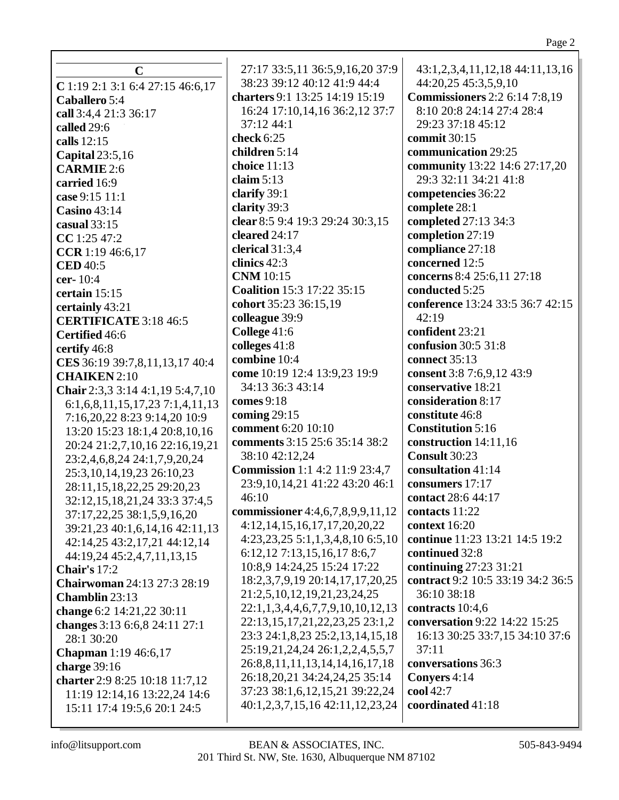| $\mathbf C$                                           | 27:17 33:5,11 36:5,9,16,20 37:9<br>38:23 39:12 40:12 41:9 44:4 | 43:1,2,3,4,11,12,18 44:11,13,16                              |
|-------------------------------------------------------|----------------------------------------------------------------|--------------------------------------------------------------|
| C 1:19 2:1 3:1 6:4 27:15 46:6,17                      | charters 9:1 13:25 14:19 15:19                                 | 44:20,25 45:3,5,9,10<br><b>Commissioners</b> 2:2 6:14 7:8,19 |
| Caballero 5:4                                         | 16:24 17:10,14,16 36:2,12 37:7                                 | 8:10 20:8 24:14 27:4 28:4                                    |
| call 3:4,4 21:3 36:17                                 | 37:12 44:1                                                     | 29:23 37:18 45:12                                            |
| called 29:6                                           |                                                                |                                                              |
| calls 12:15                                           | check 6:25                                                     | commit 30:15<br>communication 29:25                          |
| <b>Capital</b> 23:5,16                                | children 5:14<br>choice 11:13                                  |                                                              |
| <b>CARMIE</b> 2:6                                     | claim $5:13$                                                   | community 13:22 14:6 27:17,20<br>29:3 32:11 34:21 41:8       |
| carried 16:9                                          | clarify 39:1                                                   | competencies 36:22                                           |
| case 9:15 11:1                                        | clarity 39:3                                                   | complete 28:1                                                |
| <b>Casino 43:14</b>                                   | clear 8:5 9:4 19:3 29:24 30:3,15                               | completed 27:13 34:3                                         |
| casual $33:15$                                        | cleared 24:17                                                  | completion 27:19                                             |
| CC 1:25 47:2                                          | clerical 31:3,4                                                | compliance 27:18                                             |
| CCR 1:19 46:6,17                                      | clinics 42:3                                                   | concerned 12:5                                               |
| <b>CED</b> 40:5                                       | <b>CNM</b> 10:15                                               | concerns 8:4 25:6,11 27:18                                   |
| cer-10:4                                              | <b>Coalition 15:3 17:22 35:15</b>                              | conducted 5:25                                               |
| certain 15:15                                         | cohort 35:23 36:15,19                                          | conference 13:24 33:5 36:7 42:15                             |
| certainly 43:21                                       | colleague 39:9                                                 | 42:19                                                        |
| <b>CERTIFICATE 3:18 46:5</b>                          | College 41:6                                                   | confident 23:21                                              |
| Certified 46:6                                        | colleges 41:8                                                  | confusion 30:5 31:8                                          |
| certify 46:8                                          | combine 10:4                                                   | connect 35:13                                                |
| CES 36:19 39:7,8,11,13,17 40:4<br><b>CHAIKEN</b> 2:10 | come 10:19 12:4 13:9,23 19:9                                   | consent 3:8 7:6,9,12 43:9                                    |
| Chair 2:3,3 3:14 4:1,19 5:4,7,10                      | 34:13 36:3 43:14                                               | conservative 18:21                                           |
| 6:1,6,8,11,15,17,237:1,4,11,13                        | comes $9:18$                                                   | consideration 8:17                                           |
| 7:16,20,22 8:23 9:14,20 10:9                          | coming $29:15$                                                 | constitute 46:8                                              |
| 13:20 15:23 18:1,4 20:8,10,16                         | comment 6:20 10:10                                             | <b>Constitution 5:16</b>                                     |
| 20:24 21:2,7,10,16 22:16,19,21                        | comments 3:15 25:6 35:14 38:2                                  | construction 14:11,16                                        |
| 23:2,4,6,8,24 24:1,7,9,20,24                          | 38:10 42:12,24                                                 | Consult 30:23                                                |
| 25:3, 10, 14, 19, 23 26: 10, 23                       | <b>Commission</b> 1:1 4:2 11:9 23:4,7                          | consultation 41:14                                           |
| 28:11,15,18,22,25 29:20,23                            | 23:9, 10, 14, 21 41: 22 43: 20 46: 1                           | consumers 17:17                                              |
| 32:12,15,18,21,24 33:3 37:4,5                         | 46:10                                                          | contact 28:6 44:17                                           |
| 37:17,22,25 38:1,5,9,16,20                            | commissioner 4:4,6,7,8,9,9,11,12                               | contacts 11:22                                               |
| 39:21,23 40:1,6,14,16 42:11,13                        | 4:12, 14, 15, 16, 17, 17, 20, 20, 22                           | context 16:20                                                |
| 42:14,25 43:2,17,21 44:12,14                          | 4:23,23,25 5:1,1,3,4,8,10 6:5,10                               | continue 11:23 13:21 14:5 19:2                               |
| 44:19,24 45:2,4,7,11,13,15                            | 6:12, 12 7:13, 15, 16, 17 8:6, 7                               | continued 32:8                                               |
| Chair's 17:2                                          | 10:8,9 14:24,25 15:24 17:22                                    | continuing 27:23 31:21                                       |
| <b>Chairwoman 24:13 27:3 28:19</b>                    | 18:2,3,7,9,19 20:14,17,17,20,25                                | contract 9:2 10:5 33:19 34:2 36:5                            |
| Chamblin 23:13                                        | 21:2,5,10,12,19,21,23,24,25                                    | 36:10 38:18                                                  |
| change 6:2 14:21,22 30:11                             | 22:1,1,3,4,4,6,7,7,9,10,10,12,13                               | contracts 10:4,6                                             |
| changes 3:13 6:6,8 24:11 27:1                         | 22:13,15,17,21,22,23,25 23:1,2                                 | conversation 9:22 14:22 15:25                                |
| 28:1 30:20                                            | 23:3 24:1,8,23 25:2,13,14,15,18                                | 16:13 30:25 33:7,15 34:10 37:6                               |
| <b>Chapman</b> 1:19 46:6,17                           | 25:19,21,24,24 26:1,2,2,4,5,5,7                                | 37:11                                                        |
| charge 39:16                                          | 26:8,8,11,11,13,14,14,16,17,18                                 | conversations 36:3                                           |
| charter 2:9 8:25 10:18 11:7,12                        | 26:18,20,21 34:24,24,25 35:14                                  | Conyers 4:14                                                 |
| 11:19 12:14,16 13:22,24 14:6                          | 37:23 38:1,6,12,15,21 39:22,24                                 | cool 42:7                                                    |
| 15:11 17:4 19:5,6 20:1 24:5                           | 40:1,2,3,7,15,16 42:11,12,23,24                                | coordinated 41:18                                            |
|                                                       |                                                                |                                                              |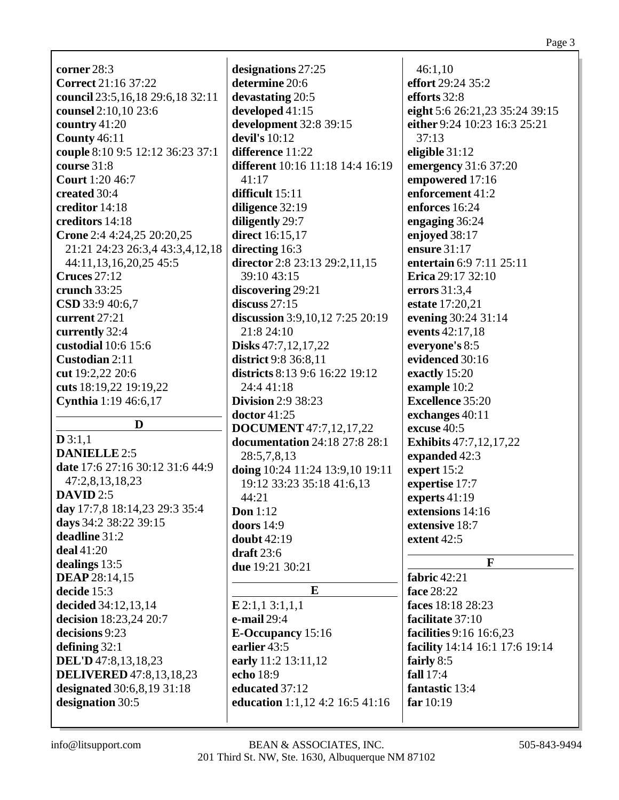| <b>corner</b> 28:3                  | designations 27:25                   | 46:1,10                        |
|-------------------------------------|--------------------------------------|--------------------------------|
| <b>Correct</b> 21:16 37:22          | determine 20:6                       | effort 29:24 35:2              |
| council 23:5, 16, 18 29:6, 18 32:11 | devastating 20:5                     | efforts 32:8                   |
| counsel 2:10,10 23:6                | developed 41:15                      | eight 5:6 26:21,23 35:24 39:15 |
| country $41:20$                     | development 32:8 39:15               | either 9:24 10:23 16:3 25:21   |
| <b>County 46:11</b>                 | devil's 10:12                        | 37:13                          |
| couple 8:10 9:5 12:12 36:23 37:1    | difference 11:22                     | eligible $31:12$               |
| <b>course</b> 31:8                  | different 10:16 11:18 14:4 16:19     | emergency 31:6 37:20           |
| <b>Court</b> 1:20 46:7              | 41:17                                | empowered 17:16                |
| created 30:4                        | difficult 15:11                      | enforcement 41:2               |
| creditor 14:18                      | diligence 32:19                      | enforces 16:24                 |
| creditors 14:18                     | diligently 29:7                      | engaging 36:24                 |
| Crone 2:4 4:24,25 20:20,25          | direct 16:15,17                      | enjoyed 38:17                  |
| 21:21 24:23 26:3,4 43:3,4,12,18     | directing 16:3                       | ensure 31:17                   |
| 44:11,13,16,20,25 45:5              | director 2:8 23:13 29:2,11,15        | entertain 6:9 7:11 25:11       |
| <b>Cruces</b> 27:12                 | 39:10 43:15                          | Erica 29:17 32:10              |
| crunch 33:25                        | discovering 29:21                    | errors 31:3,4                  |
| CSD 33:9 40:6,7                     | discuss $27:15$                      | estate 17:20,21                |
| current $27:21$                     | discussion 3:9,10,12 7:25 20:19      | evening 30:24 31:14            |
| currently 32:4                      | 21:8 24:10                           | events 42:17,18                |
| custodial 10:6 15:6                 | Disks 47:7,12,17,22                  | everyone's 8:5                 |
| Custodian 2:11                      | <b>district</b> 9:8 36:8,11          | evidenced 30:16                |
| cut 19:2,22 20:6                    | districts 8:13 9:6 16:22 19:12       | exactly 15:20                  |
| cuts 18:19,22 19:19,22              | 24:4 41:18                           | example 10:2                   |
| Cynthia 1:19 46:6,17                | <b>Division</b> 2:9 38:23            | <b>Excellence 35:20</b>        |
|                                     | doctor 41:25                         | exchanges 40:11                |
| D                                   | <b>DOCUMENT</b> 47:7,12,17,22        | excuse 40:5                    |
| D3:1,1                              | <b>documentation</b> 24:18 27:8 28:1 | <b>Exhibits</b> 47:7,12,17,22  |
| <b>DANIELLE 2:5</b>                 | 28:5,7,8,13                          | expanded 42:3                  |
| date 17:6 27:16 30:12 31:6 44:9     | doing 10:24 11:24 13:9,10 19:11      | expert 15:2                    |
| 47:2,8,13,18,23                     | 19:12 33:23 35:18 41:6,13            | expertise 17:7                 |
| <b>DAVID</b> 2:5                    | 44:21                                | experts 41:19                  |
| day 17:7,8 18:14,23 29:3 35:4       | Don $1:12$                           | extensions 14:16               |
| days 34:2 38:22 39:15               | doors $14:9$                         | extensive 18:7                 |
| deadline 31:2                       | doubt $42:19$                        | extent 42:5                    |
| $deal$ 41:20                        | draft $23:6$                         |                                |
| dealings 13:5                       | due 19:21 30:21                      | F                              |
| <b>DEAP</b> 28:14,15                |                                      | fabric 42:21                   |
| decide 15:3                         | E                                    | face 28:22                     |
| decided 34:12,13,14                 | $E$ 2:1,1 3:1,1,1                    | faces 18:18 28:23              |
| decision 18:23,24 20:7              | e-mail 29:4                          | facilitate 37:10               |
| decisions 9:23                      | <b>E-Occupancy</b> 15:16             | facilities 9:16 16:6,23        |
| defining $32:1$                     | earlier 43:5                         | facility 14:14 16:1 17:6 19:14 |
| <b>DEL'D</b> 47:8,13,18,23          | early 11:2 13:11,12                  | fairly 8:5                     |
| <b>DELIVERED</b> 47:8,13,18,23      | echo 18:9                            | <b>fall</b> 17:4               |
| designated 30:6,8,19 31:18          | educated 37:12                       | fantastic 13:4                 |
| designation 30:5                    | education 1:1,12 4:2 16:5 41:16      | far $10:19$                    |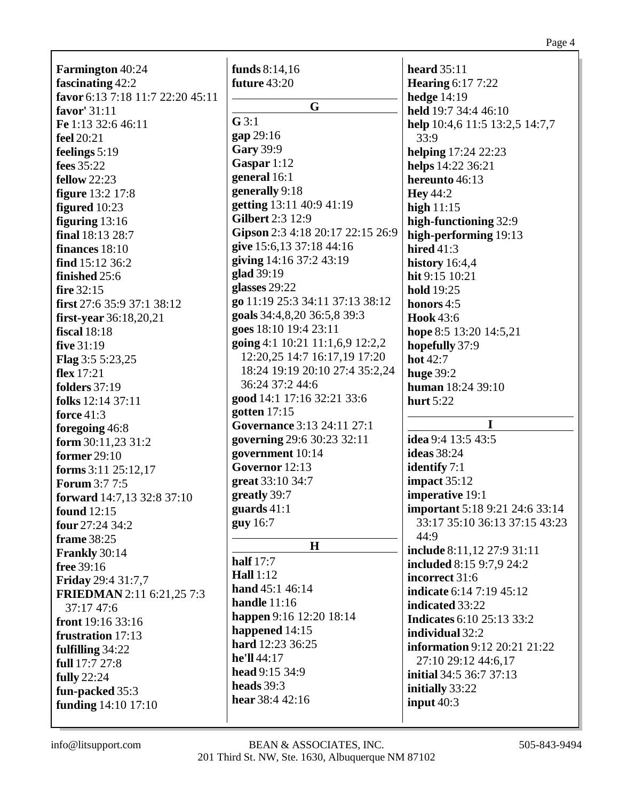| <b>Farmington</b> 40:24           | funds $8:14,16$                  | <b>heard</b> 35:11                                                     |
|-----------------------------------|----------------------------------|------------------------------------------------------------------------|
| fascinating 42:2                  | <b>future</b> 43:20              | <b>Hearing 6:17 7:22</b>                                               |
| favor 6:13 7:18 11:7 22:20 45:11  |                                  | hedge $14:19$                                                          |
| favor' 31:11                      | G                                | held 19:7 34:4 46:10                                                   |
| Fe 1:13 32:6 46:11                | G3:1                             | help 10:4,6 11:5 13:2,5 14:7,7                                         |
| feel 20:21                        | gap 29:16                        | 33:9                                                                   |
|                                   | <b>Gary 39:9</b>                 |                                                                        |
| feelings 5:19                     | Gaspar 1:12                      | helping 17:24 22:23                                                    |
| fees 35:22                        | general 16:1                     | helps 14:22 36:21<br>hereunto 46:13                                    |
| <b>fellow</b> 22:23               | generally 9:18                   |                                                                        |
| <b>figure</b> 13:2 17:8           | getting 13:11 40:9 41:19         | Hey $44:2$                                                             |
| figured 10:23                     | <b>Gilbert 2:3 12:9</b>          | high $11:15$                                                           |
| figuring $13:16$                  | Gipson 2:3 4:18 20:17 22:15 26:9 | high-functioning 32:9                                                  |
| final 18:13 28:7                  | give 15:6,13 37:18 44:16         | high-performing 19:13                                                  |
| finances 18:10                    | giving 14:16 37:2 43:19          | hired $41:3$                                                           |
| find $15:12\,36:2$                | glad 39:19                       | history $16:4,4$                                                       |
| finished 25:6                     | glasses 29:22                    | hit 9:15 10:21                                                         |
| fire 32:15                        | go 11:19 25:3 34:11 37:13 38:12  | <b>hold</b> 19:25                                                      |
| first $27:6$ 35:9 37:1 38:12      | goals 34:4,8,20 36:5,8 39:3      | honors $4:5$                                                           |
| first-year $36:18,20,21$          | goes 18:10 19:4 23:11            | <b>Hook</b> 43:6                                                       |
| fiscal $18:18$                    |                                  | hope 8:5 13:20 14:5,21                                                 |
| five 31:19                        | going 4:1 10:21 11:1,6,9 12:2,2  | hopefully 37:9                                                         |
| <b>Flag</b> $3:55:23,25$          | 12:20,25 14:7 16:17,19 17:20     | hot 42:7                                                               |
| flex $17:21$                      | 18:24 19:19 20:10 27:4 35:2,24   | <b>huge 39:2</b>                                                       |
| <b>folders</b> 37:19              | 36:24 37:2 44:6                  | <b>human</b> 18:24 39:10                                               |
| folks 12:14 37:11                 | good 14:1 17:16 32:21 33:6       | hurt 5:22                                                              |
| force $41:3$                      | gotten $17:15$                   | I                                                                      |
| foregoing 46:8                    | Governance 3:13 24:11 27:1       | idea 9:4 13:5 43:5                                                     |
| form 30:11,23 31:2                | governing 29:6 30:23 32:11       |                                                                        |
| former 29:10                      | government 10:14                 | <b>ideas</b> 38:24                                                     |
| forms $3:11$ $25:12,17$           | Governor 12:13                   | <b>identify</b> 7:1                                                    |
| <b>Forum 3:7 7:5</b>              | great 33:10 34:7                 | impact $35:12$                                                         |
| <b>forward</b> 14:7,13 32:8 37:10 | greatly 39:7                     | imperative 19:1                                                        |
| <b>found</b> 12:15                | guards $41:1$                    | <b>important</b> 5:18 9:21 24:6 33:14<br>33:17 35:10 36:13 37:15 43:23 |
| four 27:24 34:2                   | guy 16:7                         | 44:9                                                                   |
| frame 38:25                       | H                                |                                                                        |
| Frankly 30:14                     | half $17:7$                      | include 8:11,12 27:9 31:11<br>included 8:15 9:7,9 24:2                 |
| free 39:16                        | <b>Hall</b> 1:12                 | incorrect 31:6                                                         |
| <b>Friday</b> 29:4 31:7,7         | hand 45:1 46:14                  | <b>indicate</b> 6:14 7:19 45:12                                        |
| FRIEDMAN 2:11 6:21,25 7:3         | handle $11:16$                   | indicated 33:22                                                        |
| 37:17 47:6                        | happen 9:16 12:20 18:14          | <b>Indicates 6:10 25:13 33:2</b>                                       |
| front 19:16 33:16                 | happened 14:15                   | individual 32:2                                                        |
| frustration 17:13                 | hard 12:23 36:25                 |                                                                        |
| fulfilling 34:22                  | he'll 44:17                      | <b>information</b> 9:12 20:21 21:22                                    |
| full 17:7 27:8                    | head 9:15 34:9                   | 27:10 29:12 44:6,17<br><b>initial</b> 34:5 36:7 37:13                  |
| <b>fully</b> 22:24                | heads 39:3                       |                                                                        |
| fun-packed 35:3                   | hear 38:4 42:16                  | initially 33:22                                                        |
| funding 14:10 17:10               |                                  | input $40:3$                                                           |
|                                   |                                  |                                                                        |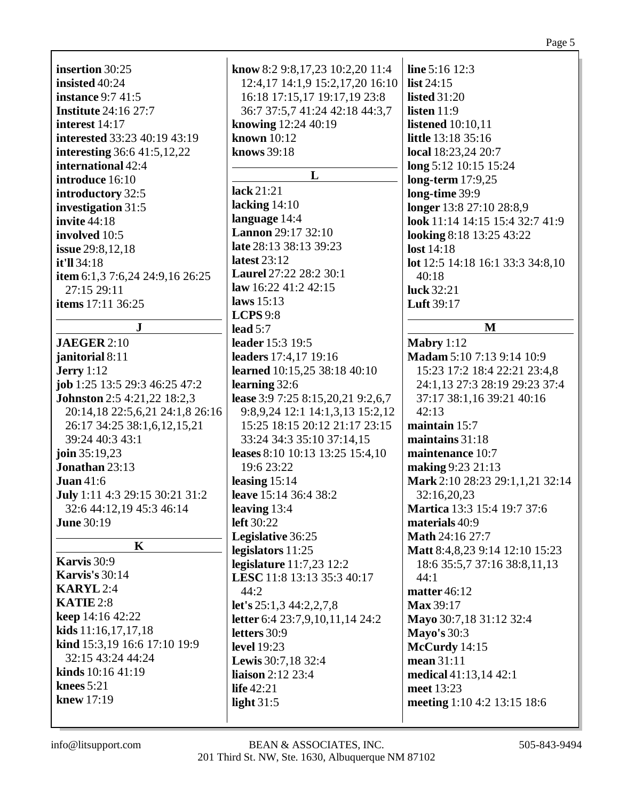|                                                |                                                            | Page 5                           |
|------------------------------------------------|------------------------------------------------------------|----------------------------------|
| insertion 30:25                                | know 8:2 9:8,17,23 10:2,20 11:4                            | line 5:16 12:3                   |
| insisted 40:24                                 | 12:4, 17 14:1, 9 15:2, 17, 20 16:10                        | list $24:15$                     |
| <b>instance</b> 9:7 41:5                       | 16:18 17:15,17 19:17,19 23:8                               | <b>listed</b> 31:20              |
| <b>Institute</b> 24:16 27:7                    | 36:7 37:5,7 41:24 42:18 44:3,7                             | listen $11:9$                    |
| interest $14:17$                               | knowing 12:24 40:19                                        | <b>listened</b> 10:10,11         |
| <b>interested</b> 33:23 40:19 43:19            | known 10:12                                                | little 13:18 35:16               |
| <b>interesting</b> 36:6 41:5,12,22             | knows 39:18                                                | local 18:23,24 20:7              |
| international 42:4                             |                                                            | long 5:12 10:15 15:24            |
| introduce 16:10                                | L                                                          | long-term 17:9,25                |
| introductory 32:5                              | lack 21:21                                                 | long-time 39:9                   |
| investigation 31:5                             | lacking $14:10$                                            | longer 13:8 27:10 28:8,9         |
| <b>invite</b> 44:18                            | language 14:4                                              | look 11:14 14:15 15:4 32:7 41:9  |
| involved 10:5                                  | <b>Lannon</b> 29:17 32:10                                  | looking 8:18 13:25 43:22         |
| issue 29:8,12,18                               | late 28:13 38:13 39:23                                     | <b>lost</b> 14:18                |
| it'll $34:18$                                  | latest $23:12$                                             | lot 12:5 14:18 16:1 33:3 34:8,10 |
| item 6:1,3 7:6,24 24:9,16 26:25                | Laurel 27:22 28:2 30:1                                     | 40:18                            |
| 27:15 29:11                                    | law 16:22 41:2 42:15                                       | luck 32:21                       |
| items 17:11 36:25                              | laws $15:13$                                               | <b>Luft</b> 39:17                |
|                                                | LCPS 9:8                                                   |                                  |
| $\bf J$                                        | lead $5:7$                                                 | M                                |
| <b>JAEGER 2:10</b>                             | leader 15:3 19:5                                           | Mabry $1:12$                     |
| janitorial 8:11                                | leaders 17:4,17 19:16                                      | Madam 5:10 7:13 9:14 10:9        |
| <b>Jerry</b> 1:12                              | learned 10:15,25 38:18 40:10                               | 15:23 17:2 18:4 22:21 23:4,8     |
| job 1:25 13:5 29:3 46:25 47:2                  | learning 32:6                                              | 24:1,13 27:3 28:19 29:23 37:4    |
| <b>Johnston</b> 2:5 4:21,22 18:2,3             | lease 3:9 7:25 8:15,20,21 9:2,6,7                          | 37:17 38:1,16 39:21 40:16        |
| 20:14,18 22:5,6,21 24:1,8 26:16                | 9:8,9,24 12:1 14:1,3,13 15:2,12                            | 42:13                            |
| 26:17 34:25 38:1,6,12,15,21<br>39:24 40:3 43:1 | 15:25 18:15 20:12 21:17 23:15<br>33:24 34:3 35:10 37:14,15 | maintain 15:7<br>maintains 31:18 |
| join $35:19,23$                                |                                                            | maintenance 10:7                 |
| Jonathan 23:13                                 | leases 8:10 10:13 13:25 15:4,10<br>19:6 23:22              | making 9:23 21:13                |
| Juan $41:6$                                    | leasing $15:14$                                            | Mark 2:10 28:23 29:1,1,21 32:14  |
| July 1:11 4:3 29:15 30:21 31:2                 | leave 15:14 36:4 38:2                                      | 32:16,20,23                      |
| 32:6 44:12,19 45:3 46:14                       | leaving $13:4$                                             | Martica 13:3 15:4 19:7 37:6      |
| <b>June 30:19</b>                              | left 30:22                                                 | materials 40:9                   |
|                                                | Legislative 36:25                                          | Math 24:16 27:7                  |
| $\mathbf K$                                    | legislators 11:25                                          | Matt 8:4, 8, 23 9:14 12:10 15:23 |
| Karvis 30:9                                    | legislature $11:7,23$ $12:2$                               | 18:6 35:5,7 37:16 38:8,11,13     |
| <b>Karvis's</b> 30:14                          | LESC 11:8 13:13 35:3 40:17                                 | 44:1                             |
| <b>KARYL</b> 2:4                               | 44:2                                                       | matter 46:12                     |
| KATIE 2:8                                      | let's $25:1,3$ 44:2,2,7,8                                  | Max 39:17                        |
| keep 14:16 42:22                               | letter 6:4 23:7,9,10,11,14 24:2                            | Mayo 30:7,18 31:12 32:4          |
| kids $11:16,17,17,18$                          | letters 30:9                                               | <b>Mayo's 30:3</b>               |
| kind 15:3,19 16:6 17:10 19:9                   | <b>level</b> 19:23                                         | McCurdy 14:15                    |
| 32:15 43:24 44:24                              | Lewis 30:7,18 32:4                                         | mean 31:11                       |
| kinds 10:16 41:19                              | liaison 2:12 23:4                                          | medical 41:13,14 42:1            |
| knees $5:21$                                   | life 42:21                                                 | meet 13:23                       |
| <b>knew</b> 17:19                              | light $31:5$                                               | meeting 1:10 4:2 13:15 18:6      |
|                                                |                                                            |                                  |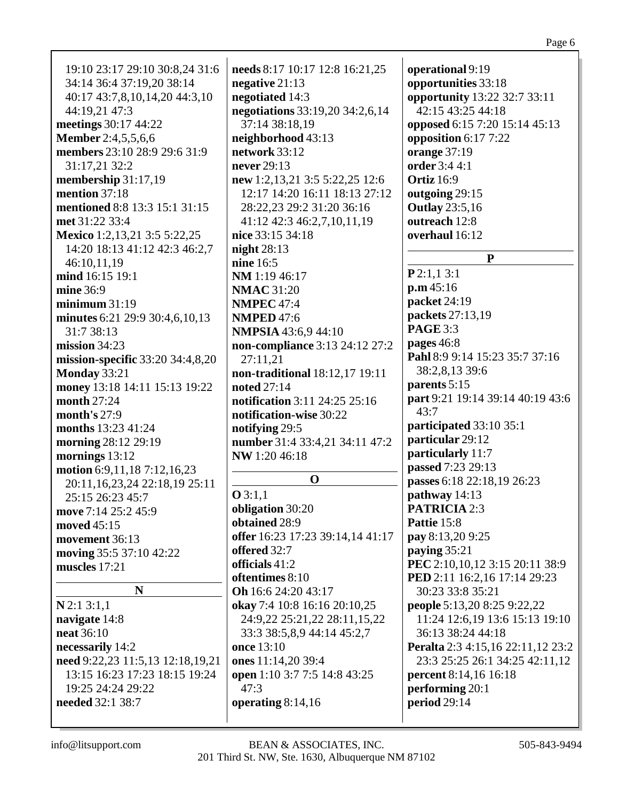| 19:10 23:17 29:10 30:8,24 31:6   | needs 8:17 10:17 12:8 16:21,25       | operational 9:19                   |
|----------------------------------|--------------------------------------|------------------------------------|
| 34:14 36:4 37:19,20 38:14        | negative $21:13$                     | opportunities 33:18                |
|                                  |                                      |                                    |
| 40:17 43:7,8,10,14,20 44:3,10    | negotiated 14:3                      | opportunity 13:22 32:7 33:11       |
| 44:19,21 47:3                    | negotiations 33:19,20 34:2,6,14      | 42:15 43:25 44:18                  |
| meetings 30:17 44:22             | 37:14 38:18,19                       | opposed 6:15 7:20 15:14 45:13      |
| <b>Member</b> 2:4,5,5,6,6        | neighborhood 43:13                   | opposition 6:17 7:22               |
| members 23:10 28:9 29:6 31:9     | network 33:12                        | orange 37:19                       |
|                                  |                                      |                                    |
| 31:17,21 32:2                    | never 29:13                          | order 3:4 4:1                      |
| membership 31:17,19              | new 1:2,13,21 3:5 5:22,25 12:6       | <b>Ortiz</b> 16:9                  |
| mention 37:18                    | 12:17 14:20 16:11 18:13 27:12        | outgoing 29:15                     |
| mentioned 8:8 13:3 15:1 31:15    | 28:22,23 29:2 31:20 36:16            | <b>Outlay</b> 23:5,16              |
| met 31:22 33:4                   | 41:12 42:3 46:2,7,10,11,19           | outreach 12:8                      |
|                                  |                                      |                                    |
| Mexico 1:2,13,21 3:5 5:22,25     | nice 33:15 34:18                     | overhaul 16:12                     |
| 14:20 18:13 41:12 42:3 46:2,7    | night $28:13$                        |                                    |
| 46:10,11,19                      | nine 16:5                            | ${\bf P}$                          |
| mind 16:15 19:1                  | NM 1:19 46:17                        | P2:1,13:1                          |
| mine 36:9                        | <b>NMAC</b> 31:20                    | p.m.45:16                          |
| minimum 31:19                    | <b>NMPEC 47:4</b>                    | packet 24:19                       |
|                                  |                                      | packets 27:13,19                   |
| minutes 6:21 29:9 30:4,6,10,13   | <b>NMPED 47:6</b>                    |                                    |
| 31:7 38:13                       | <b>NMPSIA</b> 43:6,9 44:10           | <b>PAGE 3:3</b>                    |
| mission $34:23$                  | non-compliance 3:13 24:12 27:2       | pages 46:8                         |
| mission-specific 33:20 34:4,8,20 | 27:11,21                             | Pahl 8:9 9:14 15:23 35:7 37:16     |
| Monday 33:21                     | non-traditional 18:12,17 19:11       | 38:2,8,13 39:6                     |
|                                  |                                      | parents 5:15                       |
| money 13:18 14:11 15:13 19:22    | noted 27:14                          |                                    |
| month 27:24                      | <b>notification</b> 3:11 24:25 25:16 | part 9:21 19:14 39:14 40:19 43:6   |
| month's $27:9$                   | notification-wise 30:22              | 43:7                               |
| months 13:23 41:24               | notifying 29:5                       | participated 33:10 35:1            |
| morning 28:12 29:19              | number 31:4 33:4,21 34:11 47:2       | particular 29:12                   |
|                                  |                                      | particularly 11:7                  |
| mornings 13:12                   | NW 1:20 46:18                        | passed 7:23 29:13                  |
| motion 6:9,11,18 7:12,16,23      | $\mathbf 0$                          |                                    |
| 20:11,16,23,24 22:18,19 25:11    |                                      | passes 6:18 22:18,19 26:23         |
| 25:15 26:23 45:7                 | Q3:1,1                               | pathway 14:13                      |
| move 7:14 25:2 45:9              | obligation 30:20                     | <b>PATRICIA 2:3</b>                |
| moved 45:15                      | obtained 28:9                        | Pattie 15:8                        |
|                                  | offer 16:23 17:23 39:14,14 41:17     | pay 8:13,20 9:25                   |
| movement 36:13                   | offered 32:7                         |                                    |
| moving 35:5 37:10 42:22          |                                      | paying 35:21                       |
| muscles 17:21                    | officials 41:2                       | PEC 2:10,10,12 3:15 20:11 38:9     |
|                                  | oftentimes 8:10                      | PED 2:11 16:2,16 17:14 29:23       |
| N                                | Oh 16:6 24:20 43:17                  | 30:23 33:8 35:21                   |
| $N$ 2:1 3:1,1                    | okay 7:4 10:8 16:16 20:10,25         | <b>people 5:13,20 8:25 9:22,22</b> |
| navigate 14:8                    | 24:9,22 25:21,22 28:11,15,22         | 11:24 12:6,19 13:6 15:13 19:10     |
| <b>neat</b> 36:10                |                                      | 36:13 38:24 44:18                  |
|                                  | 33:3 38:5,8,9 44:14 45:2,7           |                                    |
| necessarily 14:2                 | once 13:10                           | Peralta 2:3 4:15,16 22:11,12 23:2  |
| need 9:22,23 11:5,13 12:18,19,21 | ones 11:14,20 39:4                   | 23:3 25:25 26:1 34:25 42:11,12     |
| 13:15 16:23 17:23 18:15 19:24    | open 1:10 3:7 7:5 14:8 43:25         | <b>percent</b> 8:14,16 16:18       |
| 19:25 24:24 29:22                | 47:3                                 | performing 20:1                    |
| needed 32:1 38:7                 | operating 8:14,16                    | period 29:14                       |
|                                  |                                      |                                    |
|                                  |                                      |                                    |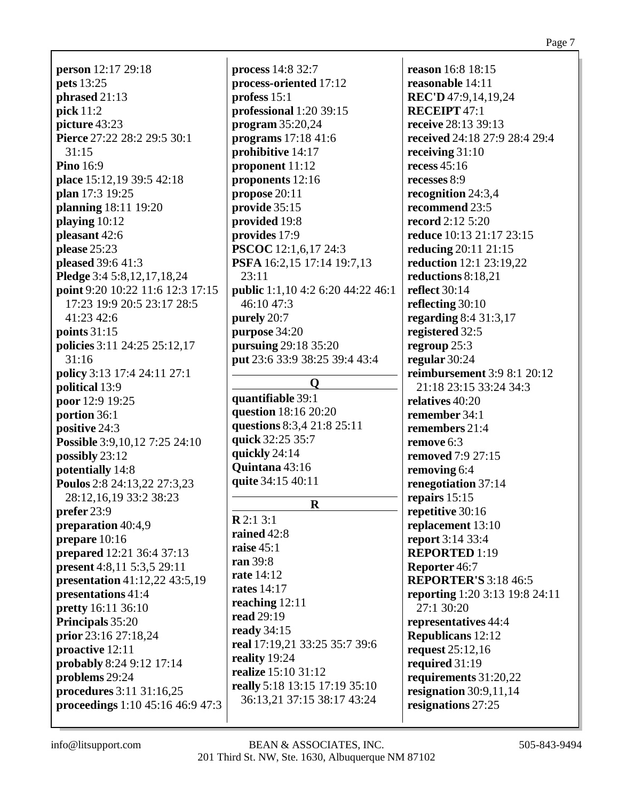**person** 12:17 29:18 **pets** 13:25 **phrased** 21:13 **pick** 11:2 **picture** 43:23 **Pierce** 27:22 28:2 29:5 30:1 31:15 **Pino** 16:9 **place** 15:12,19 39:5 42:18 **plan** 17:3 19:25 **planning** 18:11 19:20 **playing** 10:12 **pleasant** 42:6 **please** 25:23 **pleased** 39:6 41:3 **Pledge** 3:4 5:8,12,17,18,24 **point** 9:20 10:22 11:6 12:3 17:15 17:23 19:9 20:5 23:17 28:5 41:23 42:6 **points** 31:15 **policies** 3:11 24:25 25:12,17 31:16 **policy** 3:13 17:4 24:11 27:1 **political** 13:9 **poor** 12:9 19:25 **portion** 36:1 **positive** 24:3 **Possible** 3:9,10,12 7:25 24:10 **possibly** 23:12 **potentially** 14:8 **Poulos** 2:8 24:13,22 27:3,23 28:12,16,19 33:2 38:23 **prefer** 23:9 **preparation** 40:4,9 **prepare** 10:16 **prepared** 12:21 36:4 37:13 **present** 4:8,11 5:3,5 29:11 **presentation** 41:12,22 43:5,19 **presentations** 41:4 **pretty** 16:11 36:10 **Principals** 35:20 **prior** 23:16 27:18,24 **proactive** 12:11 **probably** 8:24 9:12 17:14 **problems** 29:24 **procedures** 3:11 31:16,25 **proceedings** 1:10 45:16 46:9 47:3

**process** 14:8 32:7 **process-oriented** 17:12 **profess** 15:1 **professional** 1:20 39:15 **program** 35:20,24 **programs** 17:18 41:6 **prohibitive** 14:17 **proponent** 11:12 **proponents** 12:16 **propose** 20:11 **provide** 35:15 **provided** 19:8 **provides** 17:9 **PSCOC** 12:1,6,17 24:3 **PSFA** 16:2,15 17:14 19:7,13 23:11 **public** 1:1,10 4:2 6:20 44:22 46:1 46:10 47:3 **purely** 20:7 **purpose** 34:20 **pursuing** 29:18 35:20 **put** 23:6 33:9 38:25 39:4 43:4 **Q**

**quantifiable** 39:1 **question** 18:16 20:20 **questions** 8:3,4 21:8 25:11 **quick** 32:25 35:7 **quickly** 24:14 **Quintana** 43:16 **quite** 34:15 40:11

**R R** 2:1 3:1 **rained** 42:8 **raise** 45:1 **ran** 39:8 **rate** 14:12 **rates** 14:17 **reaching** 12:11 **read** 29:19 **ready** 34:15 **real** 17:19,21 33:25 35:7 39:6 **reality** 19:24 **realize** 15:10 31:12 **really** 5:18 13:15 17:19 35:10 36:13,21 37:15 38:17 43:24

**reason** 16:8 18:15 **reasonable** 14:11 **REC'D** 47:9,14,19,24 **RECEIPT** 47:1 **receive** 28:13 39:13 **received** 24:18 27:9 28:4 29:4 **receiving** 31:10 **recess** 45:16 **recesses** 8:9 **recognition** 24:3,4 **recommend** 23:5 **record** 2:12 5:20 **reduce** 10:13 21:17 23:15 **reducing** 20:11 21:15 **reduction** 12:1 23:19,22 **reductions** 8:18,21 **reflect** 30:14 **reflecting** 30:10 **regarding** 8:4 31:3,17 **registered** 32:5 **regroup** 25:3 **regular** 30:24 **reimbursement** 3:9 8:1 20:12 21:18 23:15 33:24 34:3 **relatives** 40:20 **remember** 34:1 **remembers** 21:4 **remove** 6:3 **removed** 7:9 27:15 **removing** 6:4 **renegotiation** 37:14 **repairs** 15:15 **repetitive** 30:16 **replacement** 13:10 **report** 3:14 33:4 **REPORTED** 1:19 **Reporter** 46:7 **REPORTER'S** 3:18 46:5 **reporting** 1:20 3:13 19:8 24:11 27:1 30:20 **representatives** 44:4 **Republicans** 12:12 **request** 25:12,16 **required** 31:19 **requirements** 31:20,22 **resignation** 30:9,11,14 **resignations** 27:25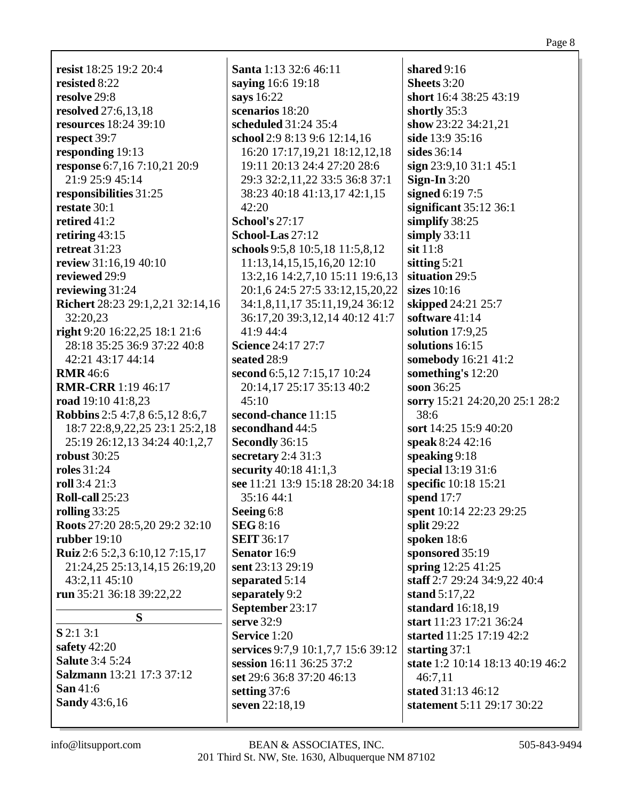**resist** 18:25 19:2 20:4 **resisted** 8:22 **resolve** 29:8 **resolved** 27:6,13,18 **resources** 18:24 39:10 **respect** 39:7 **responding** 19:13 **response** 6:7,16 7:10,21 20:9 21:9 25:9 45:14 **responsibilities** 31:25 **restate** 30:1 **retired** 41:2 **retiring** 43:15 **retreat** 31:23 **review** 31:16,19 40:10 **reviewed** 29:9 **reviewing** 31:24 **Richert** 28:23 29:1,2,21 32:14,16 32:20,23 **right** 9:20 16:22,25 18:1 21:6 28:18 35:25 36:9 37:22 40:8 42:21 43:17 44:14 **RMR** 46:6 **RMR-CRR** 1:19 46:17 **road** 19:10 41:8,23 **Robbins** 2:5 4:7,8 6:5,12 8:6,7 18:7 22:8,9,22,25 23:1 25:2,18 25:19 26:12,13 34:24 40:1,2,7 **robust** 30:25 **roles** 31:24 **roll** 3:4 21:3 **Roll-call** 25:23 **rolling** 33:25 **Roots** 27:20 28:5,20 29:2 32:10 **rubber** 19:10 **Ruiz** 2:6 5:2,3 6:10,12 7:15,17 21:24,25 25:13,14,15 26:19,20 43:2,11 45:10 **run** 35:21 36:18 39:22,22 **S S** 2:1 3:1 **safety** 42:20 **Salute** 3:4 5:24 **Salzmann** 13:21 17:3 37:12 **Santa** 1:13 32:6 46:11 **saying** 16:6 19:18 **says** 16:22 **scenarios** 18:20 **scheduled** 31:24 35:4 42:20 **School's** 27:17 **School-Las** 27:12 41:9 44:4 **Science** 24:17 27:7 **seated** 28:9  $45:10$ **second-chance** 11:15 **secondhand** 44:5 **Secondly** 36:15 **secretary** 2:4 31:3 **security** 40:18 41:1,3 35:16 44:1 **Seeing** 6:8 **SEG** 8:16 **SEIT** 36:17 **Senator** 16:9 **sent** 23:13 29:19 **separated** 5:14 **separately** 9:2 **September** 23:17 **serve** 32:9 **Service** 1:20

**school** 2:9 8:13 9:6 12:14,16 16:20 17:17,19,21 18:12,12,18 19:11 20:13 24:4 27:20 28:6 29:3 32:2,11,22 33:5 36:8 37:1 38:23 40:18 41:13,17 42:1,15 **schools** 9:5,8 10:5,18 11:5,8,12 11:13,14,15,15,16,20 12:10 13:2,16 14:2,7,10 15:11 19:6,13 20:1,6 24:5 27:5 33:12,15,20,22 34:1,8,11,17 35:11,19,24 36:12 36:17,20 39:3,12,14 40:12 41:7 **second** 6:5,12 7:15,17 10:24 20:14,17 25:17 35:13 40:2 **see** 11:21 13:9 15:18 28:20 34:18 **services** 9:7,9 10:1,7,7 15:6 39:12 **session** 16:11 36:25 37:2 **set** 29:6 36:8 37:20 46:13 **setting** 37:6 **seven** 22:18,19 **sit** 11:8 38:6

**shared** 9:16 **Sheets** 3:20 **short** 16:4 38:25 43:19 **shortly** 35:3 **show** 23:22 34:21,21 **side** 13:9 35:16 **sides** 36:14 **sign** 23:9,10 31:1 45:1 **Sign-In** 3:20 **signed** 6:19 7:5 **significant** 35:12 36:1 **simplify** 38:25 **simply** 33:11 **sitting** 5:21 **situation** 29:5 **sizes** 10:16 **skipped** 24:21 25:7 **software** 41:14 **solution** 17:9,25 **solutions** 16:15 **somebody** 16:21 41:2 **something's** 12:20 **soon** 36:25 **sorry** 15:21 24:20,20 25:1 28:2 **sort** 14:25 15:9 40:20 **speak** 8:24 42:16 **speaking** 9:18 **special** 13:19 31:6 **specific** 10:18 15:21 **spend** 17:7 **spent** 10:14 22:23 29:25 **split** 29:22 **spoken** 18:6 **sponsored** 35:19 **spring** 12:25 41:25 **staff** 2:7 29:24 34:9,22 40:4 **stand** 5:17,22 **standard** 16:18,19 **start** 11:23 17:21 36:24 **started** 11:25 17:19 42:2 **starting** 37:1 **state** 1:2 10:14 18:13 40:19 46:2 46:7,11 **stated** 31:13 46:12 **statement** 5:11 29:17 30:22

**Sandy** 43:6,16

**San** 41:6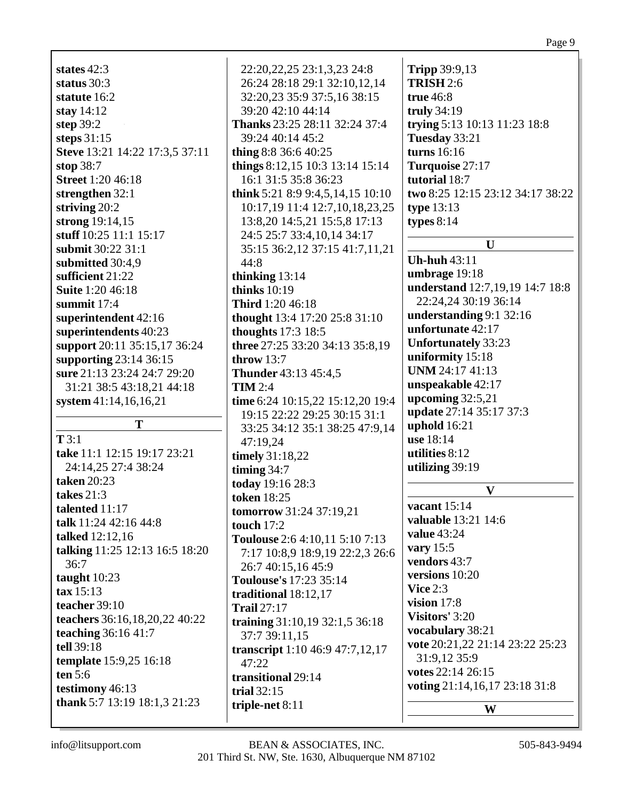**Steve** 13:21 14:22 17:3,5 37:11 **stuff** 10:25 11:1 15:17 **submit** 30:22 31:1 **superintendent** 42:16 **superintendents** 40:23 **support** 20:11 35:15,17 36:24 **supporting** 23:14 36:15 **sure** 21:13 23:24 24:7 29:20 31:21 38:5 43:18,21 44:18 **system** 41:14,16,16,21 **take** 11:1 12:15 19:17 23:21 24:14,25 27:4 38:24 **talk** 11:24 42:16 44:8 **talking** 11:25 12:13 16:5 18:20 **teachers** 36:16,18,20,22 40:22 **teaching** 36:16 41:7 **template** 15:9,25 16:18 **thank** 5:7 13:19 18:1,3 21:23 26:24 28:18 29:1 32:10,12,14 32:20,23 35:9 37:5,16 38:15 39:20 42:10 44:14 **Thanks** 23:25 28:11 32:24 37:4 39:24 40:14 45:2 **thing** 8:8 36:6 40:25 **things** 8:12,15 10:3 13:14 15:14 16:1 31:5 35:8 36:23 **think** 5:21 8:9 9:4,5,14,15 10:10 10:17,19 11:4 12:7,10,18,23,25 13:8,20 14:5,21 15:5,8 17:13 24:5 25:7 33:4,10,14 34:17 35:15 36:2,12 37:15 41:7,11,21 44:8 **thinking** 13:14 **thinks** 10:19 **Third** 1:20 46:18 **thought** 13:4 17:20 25:8 31:10 **thoughts** 17:3 18:5 **three** 27:25 33:20 34:13 35:8,19 **throw** 13:7 **Thunder** 43:13 45:4,5 **TIM** 2:4 **time** 6:24 10:15,22 15:12,20 19:4 19:15 22:22 29:25 30:15 31:1 33:25 34:12 35:1 38:25 47:9,14 47:19,24 **timely** 31:18,22 **timing** 34:7 **today** 19:16 28:3 **token** 18:25 **tomorrow** 31:24 37:19,21 **touch** 17:2 **Toulouse** 2:6 4:10,11 5:10 7:13 7:17 10:8,9 18:9,19 22:2,3 26:6 26:7 40:15,16 45:9 **Toulouse's** 17:23 35:14 **traditional** 18:12,17 **Trail** 27:17 **training** 31:10,19 32:1,5 36:18 37:7 39:11,15 **transcript** 1:10 46:9 47:7,12,17 47:22 **transitional** 29:14 **trial** 32:15 **triple-net** 8:11 **TRISH** 2:6 **true** 46:8 **truly** 34:19 **trying** 5:13 10:13 11:23 18:8 **Tuesday** 33:21 **turns** 16:16 **Turquoise** 27:17 **tutorial** 18:7 **two** 8:25 12:15 23:12 34:17 38:22 **type** 13:13 **types** 8:14 **U Uh-huh** 43:11 **umbrage** 19:18 **understand** 12:7,19,19 14:7 18:8 22:24,24 30:19 36:14 **understanding** 9:1 32:16 **unfortunate** 42:17 **Unfortunately** 33:23 **uniformity** 15:18 **UNM** 24:17 41:13 **unspeakable** 42:17 **upcoming** 32:5,21 **update** 27:14 35:17 37:3 **uphold** 16:21 **use** 18:14 **utilities** 8:12 **utilizing** 39:19 **V vacant** 15:14 **valuable** 13:21 14:6 **value** 43:24 **vary** 15:5 **vendors** 43:7 **versions** 10:20 **Vice** 2:3 **vision** 17:8 **Visitors'** 3:20 **vocabulary** 38:21 **vote** 20:21,22 21:14 23:22 25:23 31:9,12 35:9 **votes** 22:14 26:15 **voting** 21:14,16,17 23:18 31:8 **W**

22:20,22,25 23:1,3,23 24:8

**Tripp** 39:9,13

**testimony** 46:13

**states** 42:3 **status** 30:3 **statute** 16:2 **stay** 14:12 **step** 39:2 **steps** 31:15

**stop** 38:7

**T** 3:1

**taken** 20:23 **takes** 21:3 **talented** 11:17

**talked** 12:12,16

36:7 **taught** 10:23 **tax** 15:13 **teacher** 39:10

**tell** 39:18

**ten** 5:6

**Street** 1:20 46:18 **strengthen** 32:1 **striving** 20:2 **strong** 19:14,15

**submitted** 30:4,9 **sufficient** 21:22 **Suite** 1:20 46:18 **summit** 17:4

**T**